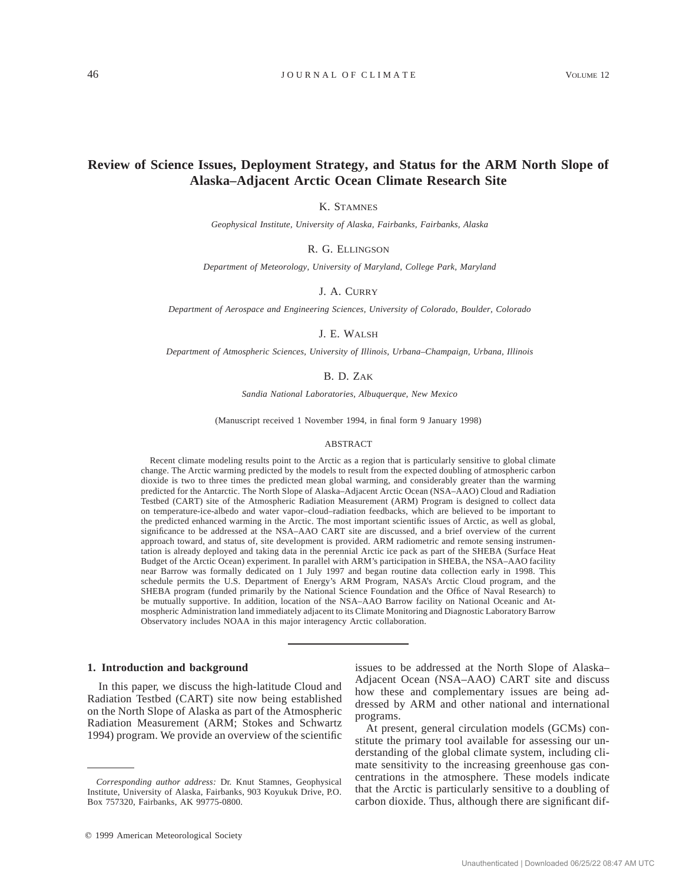# **Review of Science Issues, Deployment Strategy, and Status for the ARM North Slope of Alaska–Adjacent Arctic Ocean Climate Research Site**

K. STAMNES

*Geophysical Institute, University of Alaska, Fairbanks, Fairbanks, Alaska*

R. G. ELLINGSON

*Department of Meteorology, University of Maryland, College Park, Maryland*

J. A. CURRY

*Department of Aerospace and Engineering Sciences, University of Colorado, Boulder, Colorado*

J. E. WALSH

*Department of Atmospheric Sciences, University of Illinois, Urbana–Champaign, Urbana, Illinois*

# B. D. ZAK

*Sandia National Laboratories, Albuquerque, New Mexico*

(Manuscript received 1 November 1994, in final form 9 January 1998)

#### ABSTRACT

Recent climate modeling results point to the Arctic as a region that is particularly sensitive to global climate change. The Arctic warming predicted by the models to result from the expected doubling of atmospheric carbon dioxide is two to three times the predicted mean global warming, and considerably greater than the warming predicted for the Antarctic. The North Slope of Alaska–Adjacent Arctic Ocean (NSA–AAO) Cloud and Radiation Testbed (CART) site of the Atmospheric Radiation Measurement (ARM) Program is designed to collect data on temperature-ice-albedo and water vapor–cloud–radiation feedbacks, which are believed to be important to the predicted enhanced warming in the Arctic. The most important scientific issues of Arctic, as well as global, significance to be addressed at the NSA–AAO CART site are discussed, and a brief overview of the current approach toward, and status of, site development is provided. ARM radiometric and remote sensing instrumentation is already deployed and taking data in the perennial Arctic ice pack as part of the SHEBA (Surface Heat Budget of the Arctic Ocean) experiment. In parallel with ARM's participation in SHEBA, the NSA–AAO facility near Barrow was formally dedicated on 1 July 1997 and began routine data collection early in 1998. This schedule permits the U.S. Department of Energy's ARM Program, NASA's Arctic Cloud program, and the SHEBA program (funded primarily by the National Science Foundation and the Office of Naval Research) to be mutually supportive. In addition, location of the NSA–AAO Barrow facility on National Oceanic and Atmospheric Administration land immediately adjacent to its Climate Monitoring and Diagnostic Laboratory Barrow Observatory includes NOAA in this major interagency Arctic collaboration.

#### **1. Introduction and background**

In this paper, we discuss the high-latitude Cloud and Radiation Testbed (CART) site now being established on the North Slope of Alaska as part of the Atmospheric Radiation Measurement (ARM; Stokes and Schwartz 1994) program. We provide an overview of the scientific

issues to be addressed at the North Slope of Alaska– Adjacent Ocean (NSA–AAO) CART site and discuss how these and complementary issues are being addressed by ARM and other national and international programs.

At present, general circulation models (GCMs) constitute the primary tool available for assessing our understanding of the global climate system, including climate sensitivity to the increasing greenhouse gas concentrations in the atmosphere. These models indicate that the Arctic is particularly sensitive to a doubling of carbon dioxide. Thus, although there are significant dif-

*Corresponding author address:* Dr. Knut Stamnes, Geophysical Institute, University of Alaska, Fairbanks, 903 Koyukuk Drive, P.O. Box 757320, Fairbanks, AK 99775-0800.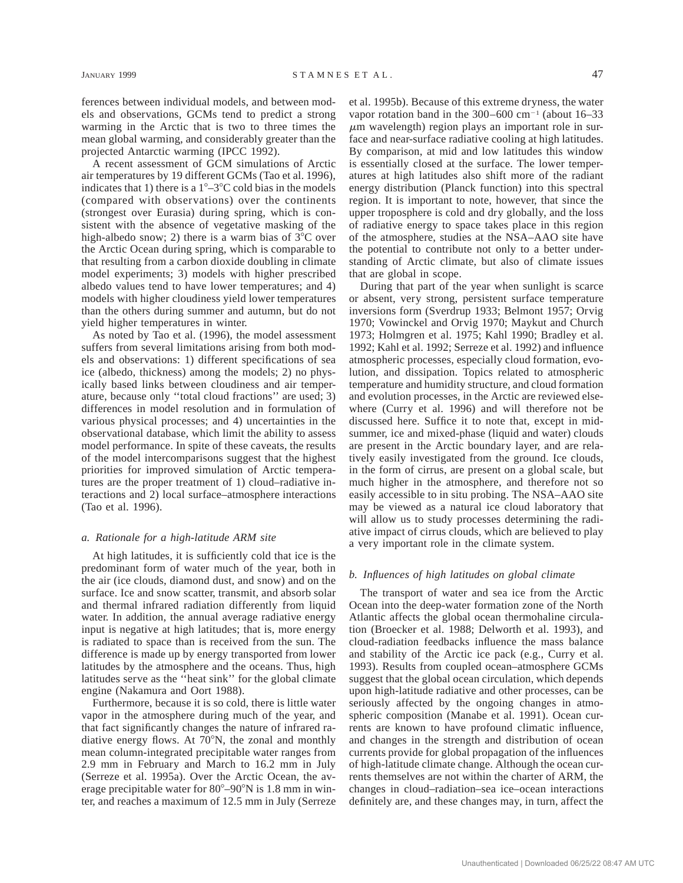ferences between individual models, and between models and observations, GCMs tend to predict a strong warming in the Arctic that is two to three times the mean global warming, and considerably greater than the projected Antarctic warming (IPCC 1992).

A recent assessment of GCM simulations of Arctic air temperatures by 19 different GCMs (Tao et al. 1996), indicates that 1) there is a  $1^{\circ}-3^{\circ}$ C cold bias in the models (compared with observations) over the continents (strongest over Eurasia) during spring, which is consistent with the absence of vegetative masking of the high-albedo snow; 2) there is a warm bias of  $3^{\circ}$ C over the Arctic Ocean during spring, which is comparable to that resulting from a carbon dioxide doubling in climate model experiments; 3) models with higher prescribed albedo values tend to have lower temperatures; and 4) models with higher cloudiness yield lower temperatures than the others during summer and autumn, but do not yield higher temperatures in winter.

As noted by Tao et al. (1996), the model assessment suffers from several limitations arising from both models and observations: 1) different specifications of sea ice (albedo, thickness) among the models; 2) no physically based links between cloudiness and air temperature, because only ''total cloud fractions'' are used; 3) differences in model resolution and in formulation of various physical processes; and 4) uncertainties in the observational database, which limit the ability to assess model performance. In spite of these caveats, the results of the model intercomparisons suggest that the highest priorities for improved simulation of Arctic temperatures are the proper treatment of 1) cloud–radiative interactions and 2) local surface–atmosphere interactions (Tao et al. 1996).

#### *a. Rationale for a high-latitude ARM site*

At high latitudes, it is sufficiently cold that ice is the predominant form of water much of the year, both in the air (ice clouds, diamond dust, and snow) and on the surface. Ice and snow scatter, transmit, and absorb solar and thermal infrared radiation differently from liquid water. In addition, the annual average radiative energy input is negative at high latitudes; that is, more energy is radiated to space than is received from the sun. The difference is made up by energy transported from lower latitudes by the atmosphere and the oceans. Thus, high latitudes serve as the ''heat sink'' for the global climate engine (Nakamura and Oort 1988).

Furthermore, because it is so cold, there is little water vapor in the atmosphere during much of the year, and that fact significantly changes the nature of infrared radiative energy flows. At  $70^{\circ}$ N, the zonal and monthly mean column-integrated precipitable water ranges from 2.9 mm in February and March to 16.2 mm in July (Serreze et al. 1995a). Over the Arctic Ocean, the average precipitable water for  $80^{\circ}$ –90°N is 1.8 mm in winter, and reaches a maximum of 12.5 mm in July (Serreze et al. 1995b). Because of this extreme dryness, the water vapor rotation band in the  $300-600$  cm<sup>-1</sup> (about 16–33)  $\mu$ m wavelength) region plays an important role in surface and near-surface radiative cooling at high latitudes. By comparison, at mid and low latitudes this window is essentially closed at the surface. The lower temperatures at high latitudes also shift more of the radiant energy distribution (Planck function) into this spectral region. It is important to note, however, that since the upper troposphere is cold and dry globally, and the loss of radiative energy to space takes place in this region of the atmosphere, studies at the NSA–AAO site have the potential to contribute not only to a better understanding of Arctic climate, but also of climate issues that are global in scope.

During that part of the year when sunlight is scarce or absent, very strong, persistent surface temperature inversions form (Sverdrup 1933; Belmont 1957; Orvig 1970; Vowinckel and Orvig 1970; Maykut and Church 1973; Holmgren et al. 1975; Kahl 1990; Bradley et al. 1992; Kahl et al. 1992; Serreze et al. 1992) and influence atmospheric processes, especially cloud formation, evolution, and dissipation. Topics related to atmospheric temperature and humidity structure, and cloud formation and evolution processes, in the Arctic are reviewed elsewhere (Curry et al. 1996) and will therefore not be discussed here. Suffice it to note that, except in midsummer, ice and mixed-phase (liquid and water) clouds are present in the Arctic boundary layer, and are relatively easily investigated from the ground. Ice clouds, in the form of cirrus, are present on a global scale, but much higher in the atmosphere, and therefore not so easily accessible to in situ probing. The NSA–AAO site may be viewed as a natural ice cloud laboratory that will allow us to study processes determining the radiative impact of cirrus clouds, which are believed to play a very important role in the climate system.

#### *b. Influences of high latitudes on global climate*

The transport of water and sea ice from the Arctic Ocean into the deep-water formation zone of the North Atlantic affects the global ocean thermohaline circulation (Broecker et al. 1988; Delworth et al. 1993), and cloud-radiation feedbacks influence the mass balance and stability of the Arctic ice pack (e.g., Curry et al. 1993). Results from coupled ocean–atmosphere GCMs suggest that the global ocean circulation, which depends upon high-latitude radiative and other processes, can be seriously affected by the ongoing changes in atmospheric composition (Manabe et al. 1991). Ocean currents are known to have profound climatic influence, and changes in the strength and distribution of ocean currents provide for global propagation of the influences of high-latitude climate change. Although the ocean currents themselves are not within the charter of ARM, the changes in cloud–radiation–sea ice–ocean interactions definitely are, and these changes may, in turn, affect the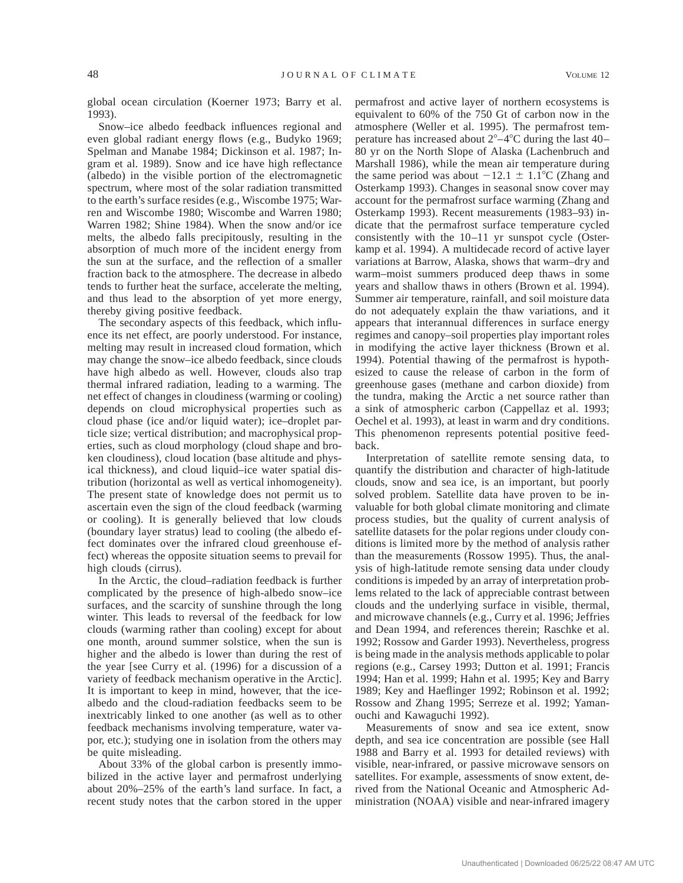global ocean circulation (Koerner 1973; Barry et al. 1993).

Snow–ice albedo feedback influences regional and even global radiant energy flows (e.g., Budyko 1969; Spelman and Manabe 1984; Dickinson et al. 1987; Ingram et al. 1989). Snow and ice have high reflectance (albedo) in the visible portion of the electromagnetic spectrum, where most of the solar radiation transmitted to the earth's surface resides (e.g., Wiscombe 1975; Warren and Wiscombe 1980; Wiscombe and Warren 1980; Warren 1982; Shine 1984). When the snow and/or ice melts, the albedo falls precipitously, resulting in the absorption of much more of the incident energy from the sun at the surface, and the reflection of a smaller fraction back to the atmosphere. The decrease in albedo tends to further heat the surface, accelerate the melting, and thus lead to the absorption of yet more energy, thereby giving positive feedback.

The secondary aspects of this feedback, which influence its net effect, are poorly understood. For instance, melting may result in increased cloud formation, which may change the snow–ice albedo feedback, since clouds have high albedo as well. However, clouds also trap thermal infrared radiation, leading to a warming. The net effect of changes in cloudiness (warming or cooling) depends on cloud microphysical properties such as cloud phase (ice and/or liquid water); ice–droplet particle size; vertical distribution; and macrophysical properties, such as cloud morphology (cloud shape and broken cloudiness), cloud location (base altitude and physical thickness), and cloud liquid–ice water spatial distribution (horizontal as well as vertical inhomogeneity). The present state of knowledge does not permit us to ascertain even the sign of the cloud feedback (warming or cooling). It is generally believed that low clouds (boundary layer stratus) lead to cooling (the albedo effect dominates over the infrared cloud greenhouse effect) whereas the opposite situation seems to prevail for high clouds (cirrus).

In the Arctic, the cloud–radiation feedback is further complicated by the presence of high-albedo snow–ice surfaces, and the scarcity of sunshine through the long winter. This leads to reversal of the feedback for low clouds (warming rather than cooling) except for about one month, around summer solstice, when the sun is higher and the albedo is lower than during the rest of the year [see Curry et al. (1996) for a discussion of a variety of feedback mechanism operative in the Arctic]. It is important to keep in mind, however, that the icealbedo and the cloud-radiation feedbacks seem to be inextricably linked to one another (as well as to other feedback mechanisms involving temperature, water vapor, etc.); studying one in isolation from the others may be quite misleading.

About 33% of the global carbon is presently immobilized in the active layer and permafrost underlying about 20%–25% of the earth's land surface. In fact, a recent study notes that the carbon stored in the upper permafrost and active layer of northern ecosystems is equivalent to 60% of the 750 Gt of carbon now in the atmosphere (Weller et al. 1995). The permafrost temperature has increased about  $2^{\circ}-4^{\circ}$ C during the last 40– 80 yr on the North Slope of Alaska (Lachenbruch and Marshall 1986), while the mean air temperature during the same period was about  $-12.1 \pm 1.1^{\circ}$ C (Zhang and Osterkamp 1993). Changes in seasonal snow cover may account for the permafrost surface warming (Zhang and Osterkamp 1993). Recent measurements (1983–93) indicate that the permafrost surface temperature cycled consistently with the 10–11 yr sunspot cycle (Osterkamp et al. 1994). A multidecade record of active layer variations at Barrow, Alaska, shows that warm–dry and warm–moist summers produced deep thaws in some years and shallow thaws in others (Brown et al. 1994). Summer air temperature, rainfall, and soil moisture data do not adequately explain the thaw variations, and it appears that interannual differences in surface energy regimes and canopy–soil properties play important roles in modifying the active layer thickness (Brown et al. 1994). Potential thawing of the permafrost is hypothesized to cause the release of carbon in the form of greenhouse gases (methane and carbon dioxide) from the tundra, making the Arctic a net source rather than a sink of atmospheric carbon (Cappellaz et al. 1993; Oechel et al. 1993), at least in warm and dry conditions. This phenomenon represents potential positive feedback.

Interpretation of satellite remote sensing data, to quantify the distribution and character of high-latitude clouds, snow and sea ice, is an important, but poorly solved problem. Satellite data have proven to be invaluable for both global climate monitoring and climate process studies, but the quality of current analysis of satellite datasets for the polar regions under cloudy conditions is limited more by the method of analysis rather than the measurements (Rossow 1995). Thus, the analysis of high-latitude remote sensing data under cloudy conditions is impeded by an array of interpretation problems related to the lack of appreciable contrast between clouds and the underlying surface in visible, thermal, and microwave channels (e.g., Curry et al. 1996; Jeffries and Dean 1994, and references therein; Raschke et al. 1992; Rossow and Garder 1993). Nevertheless, progress is being made in the analysis methods applicable to polar regions (e.g., Carsey 1993; Dutton et al. 1991; Francis 1994; Han et al. 1999; Hahn et al. 1995; Key and Barry 1989; Key and Haeflinger 1992; Robinson et al. 1992; Rossow and Zhang 1995; Serreze et al. 1992; Yamanouchi and Kawaguchi 1992).

Measurements of snow and sea ice extent, snow depth, and sea ice concentration are possible (see Hall 1988 and Barry et al. 1993 for detailed reviews) with visible, near-infrared, or passive microwave sensors on satellites. For example, assessments of snow extent, derived from the National Oceanic and Atmospheric Administration (NOAA) visible and near-infrared imagery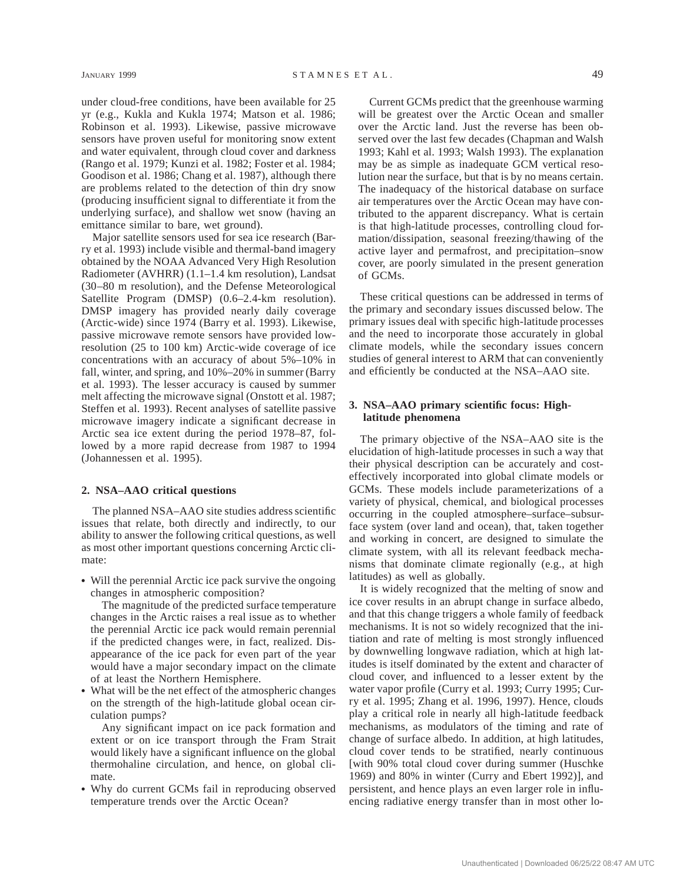under cloud-free conditions, have been available for 25 yr (e.g., Kukla and Kukla 1974; Matson et al. 1986; Robinson et al. 1993). Likewise, passive microwave sensors have proven useful for monitoring snow extent and water equivalent, through cloud cover and darkness (Rango et al. 1979; Kunzi et al. 1982; Foster et al. 1984; Goodison et al. 1986; Chang et al. 1987), although there are problems related to the detection of thin dry snow (producing insufficient signal to differentiate it from the underlying surface), and shallow wet snow (having an emittance similar to bare, wet ground).

Major satellite sensors used for sea ice research (Barry et al. 1993) include visible and thermal-band imagery obtained by the NOAA Advanced Very High Resolution Radiometer (AVHRR) (1.1–1.4 km resolution), Landsat (30–80 m resolution), and the Defense Meteorological Satellite Program (DMSP) (0.6–2.4-km resolution). DMSP imagery has provided nearly daily coverage (Arctic-wide) since 1974 (Barry et al. 1993). Likewise, passive microwave remote sensors have provided lowresolution (25 to 100 km) Arctic-wide coverage of ice concentrations with an accuracy of about 5%–10% in fall, winter, and spring, and 10%–20% in summer (Barry et al. 1993). The lesser accuracy is caused by summer melt affecting the microwave signal (Onstott et al. 1987; Steffen et al. 1993). Recent analyses of satellite passive microwave imagery indicate a significant decrease in Arctic sea ice extent during the period 1978–87, followed by a more rapid decrease from 1987 to 1994 (Johannessen et al. 1995).

#### **2. NSA–AAO critical questions**

The planned NSA–AAO site studies address scientific issues that relate, both directly and indirectly, to our ability to answer the following critical questions, as well as most other important questions concerning Arctic climate:

• Will the perennial Arctic ice pack survive the ongoing changes in atmospheric composition?

The magnitude of the predicted surface temperature changes in the Arctic raises a real issue as to whether the perennial Arctic ice pack would remain perennial if the predicted changes were, in fact, realized. Disappearance of the ice pack for even part of the year would have a major secondary impact on the climate of at least the Northern Hemisphere.

• What will be the net effect of the atmospheric changes on the strength of the high-latitude global ocean circulation pumps?

Any significant impact on ice pack formation and extent or on ice transport through the Fram Strait would likely have a significant influence on the global thermohaline circulation, and hence, on global climate.

• Why do current GCMs fail in reproducing observed temperature trends over the Arctic Ocean?

Current GCMs predict that the greenhouse warming will be greatest over the Arctic Ocean and smaller over the Arctic land. Just the reverse has been observed over the last few decades (Chapman and Walsh 1993; Kahl et al. 1993; Walsh 1993). The explanation may be as simple as inadequate GCM vertical resolution near the surface, but that is by no means certain. The inadequacy of the historical database on surface air temperatures over the Arctic Ocean may have contributed to the apparent discrepancy. What is certain is that high-latitude processes, controlling cloud formation/dissipation, seasonal freezing/thawing of the active layer and permafrost, and precipitation–snow cover, are poorly simulated in the present generation of GCMs.

These critical questions can be addressed in terms of the primary and secondary issues discussed below. The primary issues deal with specific high-latitude processes and the need to incorporate those accurately in global climate models, while the secondary issues concern studies of general interest to ARM that can conveniently and efficiently be conducted at the NSA–AAO site.

## **3. NSA–AAO primary scientific focus: Highlatitude phenomena**

The primary objective of the NSA–AAO site is the elucidation of high-latitude processes in such a way that their physical description can be accurately and costeffectively incorporated into global climate models or GCMs. These models include parameterizations of a variety of physical, chemical, and biological processes occurring in the coupled atmosphere–surface–subsurface system (over land and ocean), that, taken together and working in concert, are designed to simulate the climate system, with all its relevant feedback mechanisms that dominate climate regionally (e.g., at high latitudes) as well as globally.

It is widely recognized that the melting of snow and ice cover results in an abrupt change in surface albedo, and that this change triggers a whole family of feedback mechanisms. It is not so widely recognized that the initiation and rate of melting is most strongly influenced by downwelling longwave radiation, which at high latitudes is itself dominated by the extent and character of cloud cover, and influenced to a lesser extent by the water vapor profile (Curry et al. 1993; Curry 1995; Curry et al. 1995; Zhang et al. 1996, 1997). Hence, clouds play a critical role in nearly all high-latitude feedback mechanisms, as modulators of the timing and rate of change of surface albedo. In addition, at high latitudes, cloud cover tends to be stratified, nearly continuous [with 90% total cloud cover during summer (Huschke 1969) and 80% in winter (Curry and Ebert 1992)], and persistent, and hence plays an even larger role in influencing radiative energy transfer than in most other lo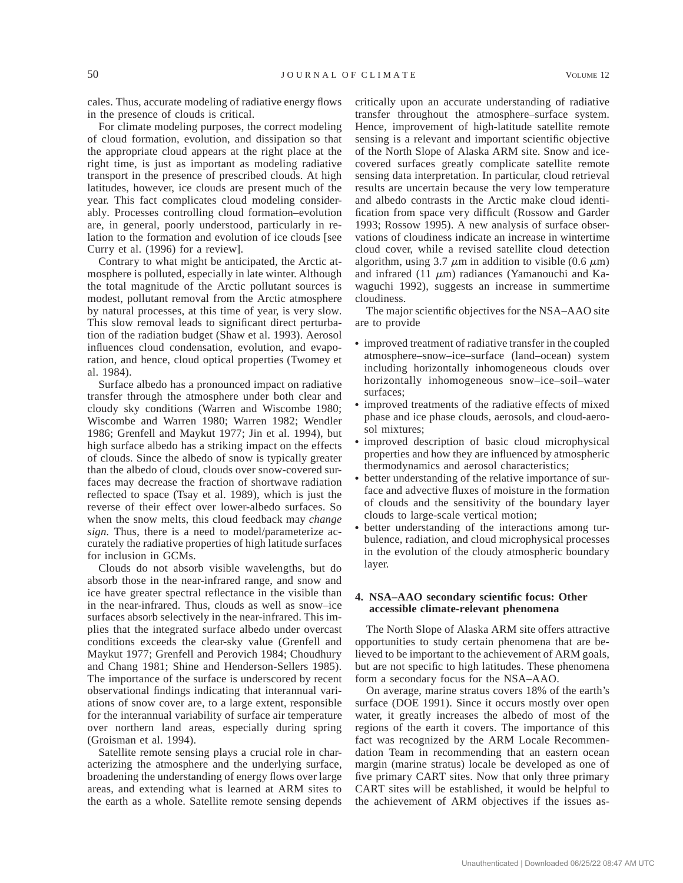cales. Thus, accurate modeling of radiative energy flows in the presence of clouds is critical.

For climate modeling purposes, the correct modeling of cloud formation, evolution, and dissipation so that the appropriate cloud appears at the right place at the right time, is just as important as modeling radiative transport in the presence of prescribed clouds. At high latitudes, however, ice clouds are present much of the year. This fact complicates cloud modeling considerably. Processes controlling cloud formation–evolution are, in general, poorly understood, particularly in relation to the formation and evolution of ice clouds [see Curry et al. (1996) for a review].

Contrary to what might be anticipated, the Arctic atmosphere is polluted, especially in late winter. Although the total magnitude of the Arctic pollutant sources is modest, pollutant removal from the Arctic atmosphere by natural processes, at this time of year, is very slow. This slow removal leads to significant direct perturbation of the radiation budget (Shaw et al. 1993). Aerosol influences cloud condensation, evolution, and evaporation, and hence, cloud optical properties (Twomey et al. 1984).

Surface albedo has a pronounced impact on radiative transfer through the atmosphere under both clear and cloudy sky conditions (Warren and Wiscombe 1980; Wiscombe and Warren 1980; Warren 1982; Wendler 1986; Grenfell and Maykut 1977; Jin et al. 1994), but high surface albedo has a striking impact on the effects of clouds. Since the albedo of snow is typically greater than the albedo of cloud, clouds over snow-covered surfaces may decrease the fraction of shortwave radiation reflected to space (Tsay et al. 1989), which is just the reverse of their effect over lower-albedo surfaces. So when the snow melts, this cloud feedback may *change sign.* Thus, there is a need to model/parameterize accurately the radiative properties of high latitude surfaces for inclusion in GCMs.

Clouds do not absorb visible wavelengths, but do absorb those in the near-infrared range, and snow and ice have greater spectral reflectance in the visible than in the near-infrared. Thus, clouds as well as snow–ice surfaces absorb selectively in the near-infrared. This implies that the integrated surface albedo under overcast conditions exceeds the clear-sky value (Grenfell and Maykut 1977; Grenfell and Perovich 1984; Choudhury and Chang 1981; Shine and Henderson-Sellers 1985). The importance of the surface is underscored by recent observational findings indicating that interannual variations of snow cover are, to a large extent, responsible for the interannual variability of surface air temperature over northern land areas, especially during spring (Groisman et al. 1994).

Satellite remote sensing plays a crucial role in characterizing the atmosphere and the underlying surface, broadening the understanding of energy flows over large areas, and extending what is learned at ARM sites to the earth as a whole. Satellite remote sensing depends critically upon an accurate understanding of radiative transfer throughout the atmosphere–surface system. Hence, improvement of high-latitude satellite remote sensing is a relevant and important scientific objective of the North Slope of Alaska ARM site. Snow and icecovered surfaces greatly complicate satellite remote sensing data interpretation. In particular, cloud retrieval results are uncertain because the very low temperature and albedo contrasts in the Arctic make cloud identification from space very difficult (Rossow and Garder 1993; Rossow 1995). A new analysis of surface observations of cloudiness indicate an increase in wintertime cloud cover, while a revised satellite cloud detection algorithm, using 3.7  $\mu$ m in addition to visible (0.6  $\mu$ m) and infrared (11  $\mu$ m) radiances (Yamanouchi and Kawaguchi 1992), suggests an increase in summertime cloudiness.

The major scientific objectives for the NSA–AAO site are to provide

- improved treatment of radiative transfer in the coupled atmosphere–snow–ice–surface (land–ocean) system including horizontally inhomogeneous clouds over horizontally inhomogeneous snow–ice–soil–water surfaces;
- improved treatments of the radiative effects of mixed phase and ice phase clouds, aerosols, and cloud-aerosol mixtures;
- improved description of basic cloud microphysical properties and how they are influenced by atmospheric thermodynamics and aerosol characteristics;
- better understanding of the relative importance of surface and advective fluxes of moisture in the formation of clouds and the sensitivity of the boundary layer clouds to large-scale vertical motion;
- better understanding of the interactions among turbulence, radiation, and cloud microphysical processes in the evolution of the cloudy atmospheric boundary layer.

### **4. NSA–AAO secondary scientific focus: Other accessible climate-relevant phenomena**

The North Slope of Alaska ARM site offers attractive opportunities to study certain phenomena that are believed to be important to the achievement of ARM goals, but are not specific to high latitudes. These phenomena form a secondary focus for the NSA–AAO.

On average, marine stratus covers 18% of the earth's surface (DOE 1991). Since it occurs mostly over open water, it greatly increases the albedo of most of the regions of the earth it covers. The importance of this fact was recognized by the ARM Locale Recommendation Team in recommending that an eastern ocean margin (marine stratus) locale be developed as one of five primary CART sites. Now that only three primary CART sites will be established, it would be helpful to the achievement of ARM objectives if the issues as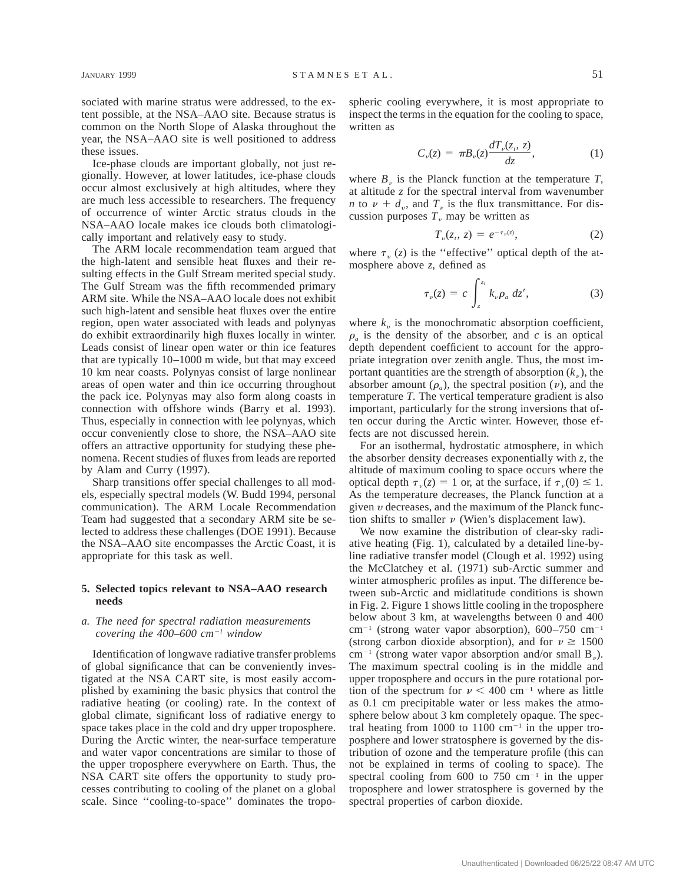sociated with marine stratus were addressed, to the extent possible, at the NSA–AAO site. Because stratus is common on the North Slope of Alaska throughout the year, the NSA–AAO site is well positioned to address these issues.

Ice-phase clouds are important globally, not just regionally. However, at lower latitudes, ice-phase clouds occur almost exclusively at high altitudes, where they are much less accessible to researchers. The frequency of occurrence of winter Arctic stratus clouds in the NSA–AAO locale makes ice clouds both climatologically important and relatively easy to study.

The ARM locale recommendation team argued that the high-latent and sensible heat fluxes and their resulting effects in the Gulf Stream merited special study. The Gulf Stream was the fifth recommended primary ARM site. While the NSA–AAO locale does not exhibit such high-latent and sensible heat fluxes over the entire region, open water associated with leads and polynyas do exhibit extraordinarily high fluxes locally in winter. Leads consist of linear open water or thin ice features that are typically 10–1000 m wide, but that may exceed 10 km near coasts. Polynyas consist of large nonlinear areas of open water and thin ice occurring throughout the pack ice. Polynyas may also form along coasts in connection with offshore winds (Barry et al. 1993). Thus, especially in connection with lee polynyas, which occur conveniently close to shore, the NSA–AAO site offers an attractive opportunity for studying these phenomena. Recent studies of fluxes from leads are reported by Alam and Curry (1997).

Sharp transitions offer special challenges to all models, especially spectral models (W. Budd 1994, personal communication). The ARM Locale Recommendation Team had suggested that a secondary ARM site be selected to address these challenges (DOE 1991). Because the NSA–AAO site encompasses the Arctic Coast, it is appropriate for this task as well.

### **5. Selected topics relevant to NSA–AAO research needs**

## *a. The need for spectral radiation measurements covering the 400–600 cm<sup>-1</sup> window*

Identification of longwave radiative transfer problems of global significance that can be conveniently investigated at the NSA CART site, is most easily accomplished by examining the basic physics that control the radiative heating (or cooling) rate. In the context of global climate, significant loss of radiative energy to space takes place in the cold and dry upper troposphere. During the Arctic winter, the near-surface temperature and water vapor concentrations are similar to those of the upper troposphere everywhere on Earth. Thus, the NSA CART site offers the opportunity to study processes contributing to cooling of the planet on a global scale. Since ''cooling-to-space'' dominates the tropospheric cooling everywhere, it is most appropriate to inspect the terms in the equation for the cooling to space, written as

$$
C_{\nu}(z) = \pi B_{\nu}(z) \frac{dT_{\nu}(z_{\nu}, z)}{dz}, \qquad (1)
$$

where  $B_n$  is the Planck function at the temperature  $T$ , at altitude *z* for the spectral interval from wavenumber *n* to  $\nu + d_{\nu}$ , and  $T_{\nu}$  is the flux transmittance. For discussion purposes  $T<sub>n</sub>$  may be written as

$$
T_{\nu}(z_t, z) = e^{-\tau_{\nu}(z)}, \tag{2}
$$

where  $\tau_{y}$  (*z*) is the "effective" optical depth of the atmosphere above *z,* defined as

$$
\tau_{\nu}(z) = c \int_{z}^{z_{t}} k_{\nu} \rho_{a} dz', \qquad (3)
$$

where  $k_{y}$  is the monochromatic absorption coefficient,  $\rho_a$  is the density of the absorber, and *c* is an optical depth dependent coefficient to account for the appropriate integration over zenith angle. Thus, the most important quantities are the strength of absorption  $(k_n)$ , the absorber amount  $(\rho_a)$ , the spectral position  $(\nu)$ , and the temperature *T.* The vertical temperature gradient is also important, particularly for the strong inversions that often occur during the Arctic winter. However, those effects are not discussed herein.

For an isothermal, hydrostatic atmosphere, in which the absorber density decreases exponentially with *z,* the altitude of maximum cooling to space occurs where the optical depth  $\tau_{\nu}(z) = 1$  or, at the surface, if  $\tau_{\nu}(0) \leq 1$ . As the temperature decreases, the Planck function at a given  $\nu$  decreases, and the maximum of the Planck function shifts to smaller  $\nu$  (Wien's displacement law).

We now examine the distribution of clear-sky radiative heating (Fig. 1), calculated by a detailed line-byline radiative transfer model (Clough et al. 1992) using the McClatchey et al. (1971) sub-Arctic summer and winter atmospheric profiles as input. The difference between sub-Arctic and midlatitude conditions is shown in Fig. 2. Figure 1 shows little cooling in the troposphere below about 3 km, at wavelengths between 0 and 400  $cm^{-1}$  (strong water vapor absorption), 600–750 cm<sup>-1</sup> (strong carbon dioxide absorption), and for  $\nu \ge 1500$  $cm^{-1}$  (strong water vapor absorption and/or small B<sub>v</sub>). The maximum spectral cooling is in the middle and upper troposphere and occurs in the pure rotational portion of the spectrum for  $\nu < 400$  cm<sup>-1</sup> where as little as 0.1 cm precipitable water or less makes the atmosphere below about 3 km completely opaque. The spectral heating from 1000 to 1100  $cm^{-1}$  in the upper troposphere and lower stratosphere is governed by the distribution of ozone and the temperature profile (this can not be explained in terms of cooling to space). The spectral cooling from 600 to 750 cm<sup>-1</sup> in the upper troposphere and lower stratosphere is governed by the spectral properties of carbon dioxide.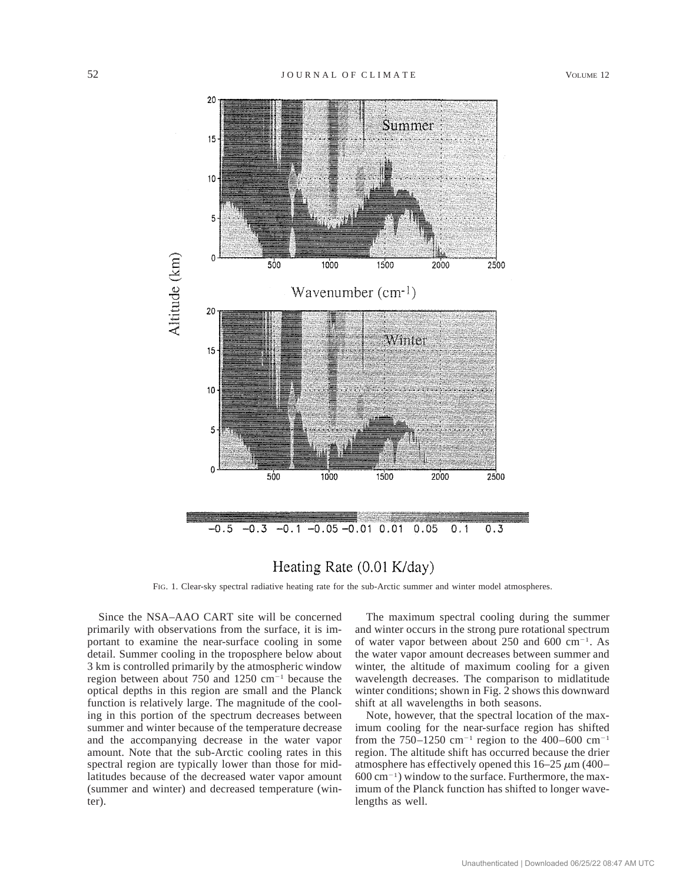

# Heating Rate (0.01 K/day)

FIG. 1. Clear-sky spectral radiative heating rate for the sub-Arctic summer and winter model atmospheres.

Since the NSA–AAO CART site will be concerned primarily with observations from the surface, it is important to examine the near-surface cooling in some detail. Summer cooling in the troposphere below about 3 km is controlled primarily by the atmospheric window region between about 750 and 1250  $cm^{-1}$  because the optical depths in this region are small and the Planck function is relatively large. The magnitude of the cooling in this portion of the spectrum decreases between summer and winter because of the temperature decrease and the accompanying decrease in the water vapor amount. Note that the sub-Arctic cooling rates in this spectral region are typically lower than those for midlatitudes because of the decreased water vapor amount (summer and winter) and decreased temperature (winter).

The maximum spectral cooling during the summer and winter occurs in the strong pure rotational spectrum of water vapor between about  $250$  and  $600$  cm<sup>-1</sup>. As the water vapor amount decreases between summer and winter, the altitude of maximum cooling for a given wavelength decreases. The comparison to midlatitude winter conditions; shown in Fig. 2 shows this downward shift at all wavelengths in both seasons.

Note, however, that the spectral location of the maximum cooling for the near-surface region has shifted from the 750–1250 cm<sup>-1</sup> region to the 400–600 cm<sup>-1</sup> region. The altitude shift has occurred because the drier atmosphere has effectively opened this  $16-25 \mu m (400 600 \text{ cm}^{-1}$ ) window to the surface. Furthermore, the maximum of the Planck function has shifted to longer wavelengths as well.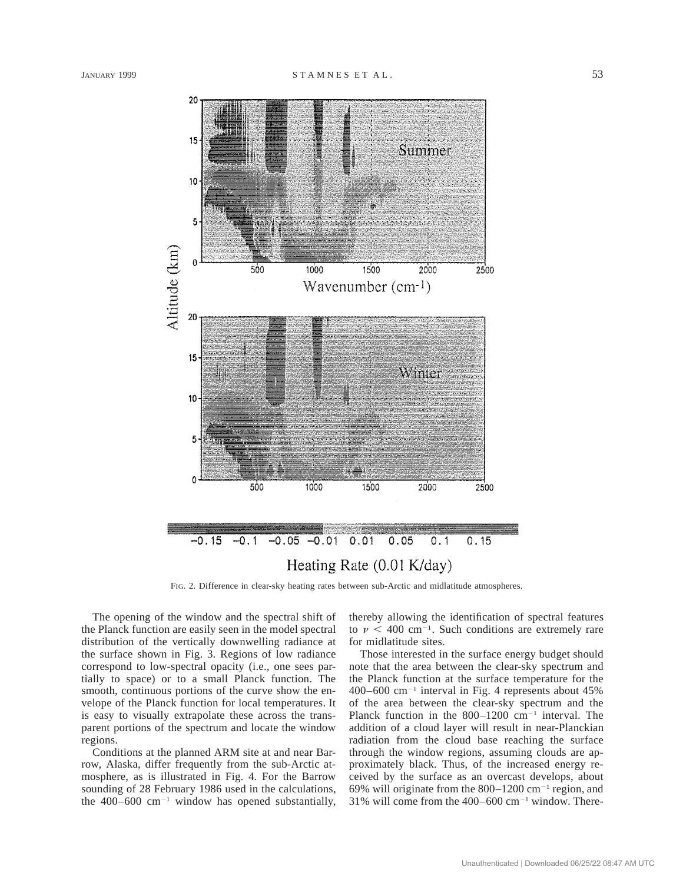

FIG. 2. Difference in clear-sky heating rates between sub-Arctic and midlatitude atmospheres.

The opening of the window and the spectral shift of the Planck function are easily seen in the model spectral distribution of the vertically downwelling radiance at the surface shown in Fig. 3. Regions of low radiance correspond to low-spectral opacity (i.e., one sees partially to space) or to a small Planck function. The smooth, continuous portions of the curve show the envelope of the Planck function for local temperatures. It is easy to visually extrapolate these across the transparent portions of the spectrum and locate the window regions.

Conditions at the planned ARM site at and near Barrow, Alaska, differ frequently from the sub-Arctic atmosphere, as is illustrated in Fig. 4. For the Barrow sounding of 28 February 1986 used in the calculations, the  $400-600$  cm<sup>-1</sup> window has opened substantially, thereby allowing the identification of spectral features to  $\nu$  < 400 cm<sup>-1</sup>. Such conditions are extremely rare for midlatitude sites.

Those interested in the surface energy budget should note that the area between the clear-sky spectrum and the Planck function at the surface temperature for the  $400-600$  cm<sup>-1</sup> interval in Fig. 4 represents about  $45\%$ of the area between the clear-sky spectrum and the Planck function in the  $800-1200$  cm<sup>-1</sup> interval. The addition of a cloud layer will result in near-Planckian radiation from the cloud base reaching the surface through the window regions, assuming clouds are approximately black. Thus, of the increased energy received by the surface as an overcast develops, about 69% will originate from the  $800-1200$  cm<sup>-1</sup> region, and 31% will come from the  $400-600$  cm<sup>-1</sup> window. There-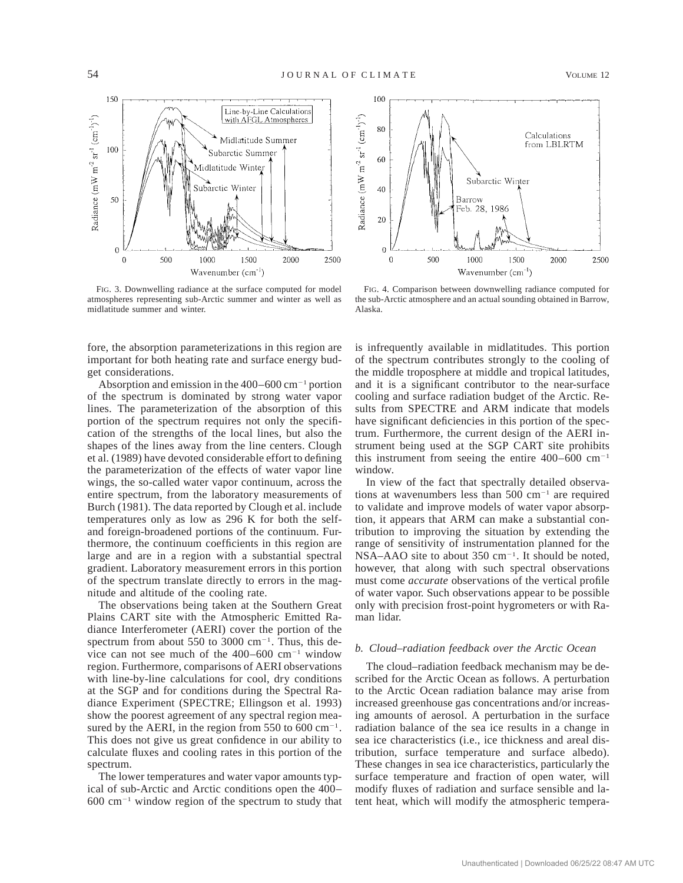

FIG. 3. Downwelling radiance at the surface computed for model atmospheres representing sub-Arctic summer and winter as well as midlatitude summer and winter.

fore, the absorption parameterizations in this region are important for both heating rate and surface energy budget considerations.

Absorption and emission in the  $400-600$  cm<sup>-1</sup> portion of the spectrum is dominated by strong water vapor lines. The parameterization of the absorption of this portion of the spectrum requires not only the specification of the strengths of the local lines, but also the shapes of the lines away from the line centers. Clough et al. (1989) have devoted considerable effort to defining the parameterization of the effects of water vapor line wings, the so-called water vapor continuum, across the entire spectrum, from the laboratory measurements of Burch (1981). The data reported by Clough et al. include temperatures only as low as 296 K for both the selfand foreign-broadened portions of the continuum. Furthermore, the continuum coefficients in this region are large and are in a region with a substantial spectral gradient. Laboratory measurement errors in this portion of the spectrum translate directly to errors in the magnitude and altitude of the cooling rate.

The observations being taken at the Southern Great Plains CART site with the Atmospheric Emitted Radiance Interferometer (AERI) cover the portion of the spectrum from about 550 to 3000  $cm^{-1}$ . Thus, this device can not see much of the  $400-600$  cm<sup>-1</sup> window region. Furthermore, comparisons of AERI observations with line-by-line calculations for cool, dry conditions at the SGP and for conditions during the Spectral Radiance Experiment (SPECTRE; Ellingson et al. 1993) show the poorest agreement of any spectral region measured by the AERI, in the region from 550 to 600 cm<sup>-1</sup>. This does not give us great confidence in our ability to calculate fluxes and cooling rates in this portion of the spectrum.

The lower temperatures and water vapor amounts typical of sub-Arctic and Arctic conditions open the 400–  $600 \text{ cm}^{-1}$  window region of the spectrum to study that



FIG. 4. Comparison between downwelling radiance computed for the sub-Arctic atmosphere and an actual sounding obtained in Barrow, Alaska.

is infrequently available in midlatitudes. This portion of the spectrum contributes strongly to the cooling of the middle troposphere at middle and tropical latitudes, and it is a significant contributor to the near-surface cooling and surface radiation budget of the Arctic. Results from SPECTRE and ARM indicate that models have significant deficiencies in this portion of the spectrum. Furthermore, the current design of the AERI instrument being used at the SGP CART site prohibits this instrument from seeing the entire  $400-600$  cm<sup>-1</sup> window.

In view of the fact that spectrally detailed observations at wavenumbers less than  $500 \text{ cm}^{-1}$  are required to validate and improve models of water vapor absorption, it appears that ARM can make a substantial contribution to improving the situation by extending the range of sensitivity of instrumentation planned for the NSA–AAO site to about  $350 \text{ cm}^{-1}$ . It should be noted, however, that along with such spectral observations must come *accurate* observations of the vertical profile of water vapor. Such observations appear to be possible only with precision frost-point hygrometers or with Raman lidar.

#### *b. Cloud–radiation feedback over the Arctic Ocean*

The cloud–radiation feedback mechanism may be described for the Arctic Ocean as follows. A perturbation to the Arctic Ocean radiation balance may arise from increased greenhouse gas concentrations and/or increasing amounts of aerosol. A perturbation in the surface radiation balance of the sea ice results in a change in sea ice characteristics (i.e., ice thickness and areal distribution, surface temperature and surface albedo). These changes in sea ice characteristics, particularly the surface temperature and fraction of open water, will modify fluxes of radiation and surface sensible and latent heat, which will modify the atmospheric tempera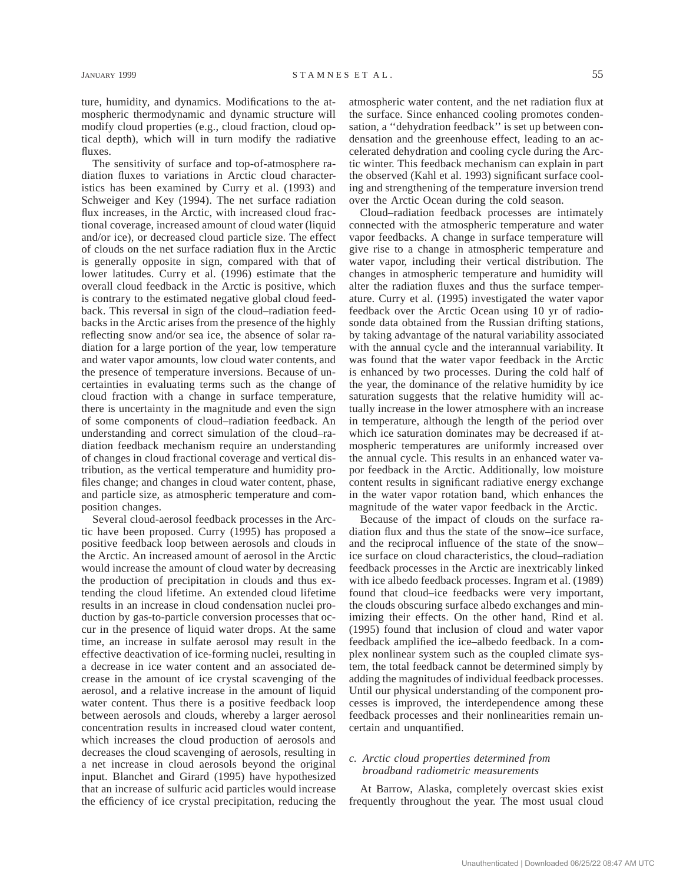ture, humidity, and dynamics. Modifications to the atmospheric thermodynamic and dynamic structure will modify cloud properties (e.g., cloud fraction, cloud optical depth), which will in turn modify the radiative fluxes.

The sensitivity of surface and top-of-atmosphere radiation fluxes to variations in Arctic cloud characteristics has been examined by Curry et al. (1993) and Schweiger and Key (1994). The net surface radiation flux increases, in the Arctic, with increased cloud fractional coverage, increased amount of cloud water (liquid and/or ice), or decreased cloud particle size. The effect of clouds on the net surface radiation flux in the Arctic is generally opposite in sign, compared with that of lower latitudes. Curry et al. (1996) estimate that the overall cloud feedback in the Arctic is positive, which is contrary to the estimated negative global cloud feedback. This reversal in sign of the cloud–radiation feedbacks in the Arctic arises from the presence of the highly reflecting snow and/or sea ice, the absence of solar radiation for a large portion of the year, low temperature and water vapor amounts, low cloud water contents, and the presence of temperature inversions. Because of uncertainties in evaluating terms such as the change of cloud fraction with a change in surface temperature, there is uncertainty in the magnitude and even the sign of some components of cloud–radiation feedback. An understanding and correct simulation of the cloud–radiation feedback mechanism require an understanding of changes in cloud fractional coverage and vertical distribution, as the vertical temperature and humidity profiles change; and changes in cloud water content, phase, and particle size, as atmospheric temperature and composition changes.

Several cloud-aerosol feedback processes in the Arctic have been proposed. Curry (1995) has proposed a positive feedback loop between aerosols and clouds in the Arctic. An increased amount of aerosol in the Arctic would increase the amount of cloud water by decreasing the production of precipitation in clouds and thus extending the cloud lifetime. An extended cloud lifetime results in an increase in cloud condensation nuclei production by gas-to-particle conversion processes that occur in the presence of liquid water drops. At the same time, an increase in sulfate aerosol may result in the effective deactivation of ice-forming nuclei, resulting in a decrease in ice water content and an associated decrease in the amount of ice crystal scavenging of the aerosol, and a relative increase in the amount of liquid water content. Thus there is a positive feedback loop between aerosols and clouds, whereby a larger aerosol concentration results in increased cloud water content, which increases the cloud production of aerosols and decreases the cloud scavenging of aerosols, resulting in a net increase in cloud aerosols beyond the original input. Blanchet and Girard (1995) have hypothesized that an increase of sulfuric acid particles would increase the efficiency of ice crystal precipitation, reducing the atmospheric water content, and the net radiation flux at the surface. Since enhanced cooling promotes condensation, a ''dehydration feedback'' is set up between condensation and the greenhouse effect, leading to an accelerated dehydration and cooling cycle during the Arctic winter. This feedback mechanism can explain in part the observed (Kahl et al. 1993) significant surface cooling and strengthening of the temperature inversion trend over the Arctic Ocean during the cold season.

Cloud–radiation feedback processes are intimately connected with the atmospheric temperature and water vapor feedbacks. A change in surface temperature will give rise to a change in atmospheric temperature and water vapor, including their vertical distribution. The changes in atmospheric temperature and humidity will alter the radiation fluxes and thus the surface temperature. Curry et al. (1995) investigated the water vapor feedback over the Arctic Ocean using 10 yr of radiosonde data obtained from the Russian drifting stations, by taking advantage of the natural variability associated with the annual cycle and the interannual variability. It was found that the water vapor feedback in the Arctic is enhanced by two processes. During the cold half of the year, the dominance of the relative humidity by ice saturation suggests that the relative humidity will actually increase in the lower atmosphere with an increase in temperature, although the length of the period over which ice saturation dominates may be decreased if atmospheric temperatures are uniformly increased over the annual cycle. This results in an enhanced water vapor feedback in the Arctic. Additionally, low moisture content results in significant radiative energy exchange in the water vapor rotation band, which enhances the magnitude of the water vapor feedback in the Arctic.

Because of the impact of clouds on the surface radiation flux and thus the state of the snow–ice surface, and the reciprocal influence of the state of the snow– ice surface on cloud characteristics, the cloud–radiation feedback processes in the Arctic are inextricably linked with ice albedo feedback processes. Ingram et al. (1989) found that cloud–ice feedbacks were very important, the clouds obscuring surface albedo exchanges and minimizing their effects. On the other hand, Rind et al. (1995) found that inclusion of cloud and water vapor feedback amplified the ice–albedo feedback. In a complex nonlinear system such as the coupled climate system, the total feedback cannot be determined simply by adding the magnitudes of individual feedback processes. Until our physical understanding of the component processes is improved, the interdependence among these feedback processes and their nonlinearities remain uncertain and unquantified.

#### *c. Arctic cloud properties determined from broadband radiometric measurements*

At Barrow, Alaska, completely overcast skies exist frequently throughout the year. The most usual cloud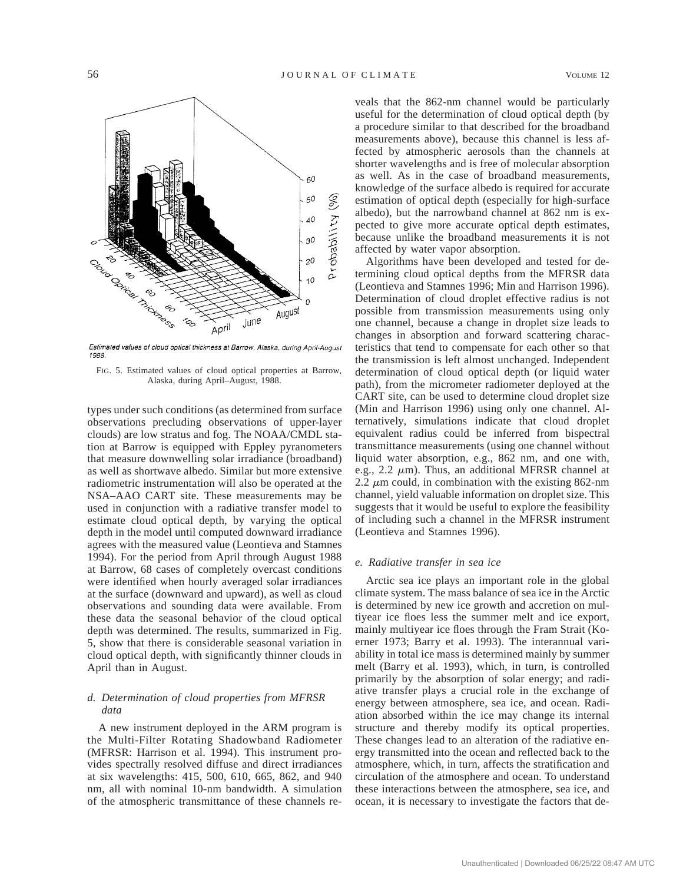

Estimated values of cloud optical thickness at Barrow, Alaska, during April-August 1988.

FIG. 5. Estimated values of cloud optical properties at Barrow, Alaska, during April–August, 1988.

types under such conditions (as determined from surface observations precluding observations of upper-layer clouds) are low stratus and fog. The NOAA/CMDL station at Barrow is equipped with Eppley pyranometers that measure downwelling solar irradiance (broadband) as well as shortwave albedo. Similar but more extensive radiometric instrumentation will also be operated at the NSA–AAO CART site. These measurements may be used in conjunction with a radiative transfer model to estimate cloud optical depth, by varying the optical depth in the model until computed downward irradiance agrees with the measured value (Leontieva and Stamnes 1994). For the period from April through August 1988 at Barrow, 68 cases of completely overcast conditions were identified when hourly averaged solar irradiances at the surface (downward and upward), as well as cloud observations and sounding data were available. From these data the seasonal behavior of the cloud optical depth was determined. The results, summarized in Fig. 5, show that there is considerable seasonal variation in cloud optical depth, with significantly thinner clouds in April than in August.

# *d. Determination of cloud properties from MFRSR data*

A new instrument deployed in the ARM program is the Multi-Filter Rotating Shadowband Radiometer (MFRSR: Harrison et al. 1994). This instrument provides spectrally resolved diffuse and direct irradiances at six wavelengths: 415, 500, 610, 665, 862, and 940 nm, all with nominal 10-nm bandwidth. A simulation of the atmospheric transmittance of these channels re-

veals that the 862-nm channel would be particularly useful for the determination of cloud optical depth (by a procedure similar to that described for the broadband measurements above), because this channel is less affected by atmospheric aerosols than the channels at shorter wavelengths and is free of molecular absorption as well. As in the case of broadband measurements, knowledge of the surface albedo is required for accurate estimation of optical depth (especially for high-surface albedo), but the narrowband channel at 862 nm is expected to give more accurate optical depth estimates, because unlike the broadband measurements it is not affected by water vapor absorption.

Algorithms have been developed and tested for determining cloud optical depths from the MFRSR data (Leontieva and Stamnes 1996; Min and Harrison 1996). Determination of cloud droplet effective radius is not possible from transmission measurements using only one channel, because a change in droplet size leads to changes in absorption and forward scattering characteristics that tend to compensate for each other so that the transmission is left almost unchanged. Independent determination of cloud optical depth (or liquid water path), from the micrometer radiometer deployed at the CART site, can be used to determine cloud droplet size (Min and Harrison 1996) using only one channel. Alternatively, simulations indicate that cloud droplet equivalent radius could be inferred from bispectral transmittance measurements (using one channel without liquid water absorption, e.g., 862 nm, and one with, e.g.,  $2.2 \mu m$ ). Thus, an additional MFRSR channel at 2.2  $\mu$ m could, in combination with the existing 862-nm channel, yield valuable information on droplet size. This suggests that it would be useful to explore the feasibility of including such a channel in the MFRSR instrument (Leontieva and Stamnes 1996).

#### *e. Radiative transfer in sea ice*

Arctic sea ice plays an important role in the global climate system. The mass balance of sea ice in the Arctic is determined by new ice growth and accretion on multiyear ice floes less the summer melt and ice export, mainly multiyear ice floes through the Fram Strait (Koerner 1973; Barry et al. 1993). The interannual variability in total ice mass is determined mainly by summer melt (Barry et al. 1993), which, in turn, is controlled primarily by the absorption of solar energy; and radiative transfer plays a crucial role in the exchange of energy between atmosphere, sea ice, and ocean. Radiation absorbed within the ice may change its internal structure and thereby modify its optical properties. These changes lead to an alteration of the radiative energy transmitted into the ocean and reflected back to the atmosphere, which, in turn, affects the stratification and circulation of the atmosphere and ocean. To understand these interactions between the atmosphere, sea ice, and ocean, it is necessary to investigate the factors that de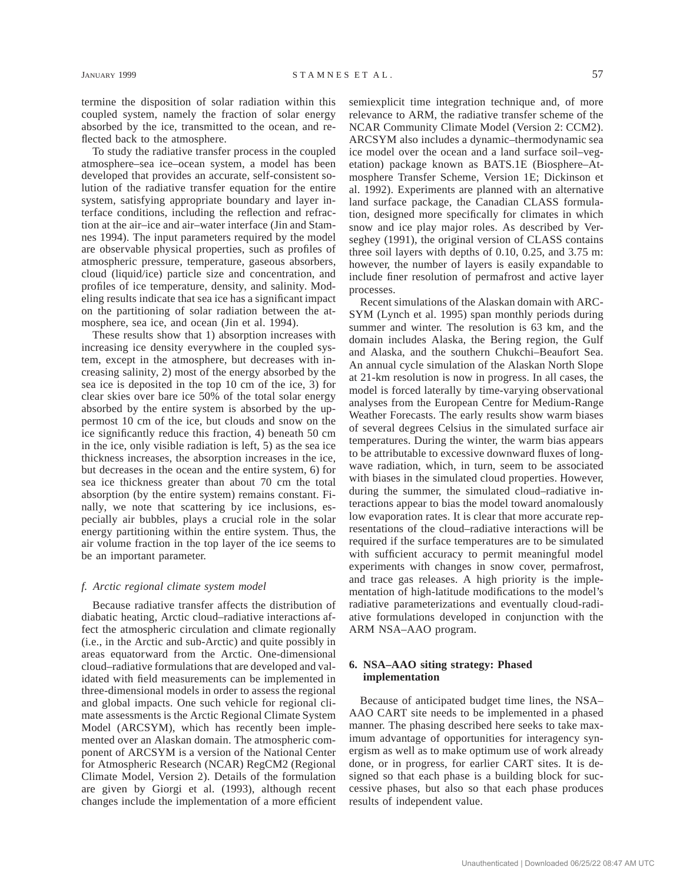termine the disposition of solar radiation within this coupled system, namely the fraction of solar energy absorbed by the ice, transmitted to the ocean, and reflected back to the atmosphere.

To study the radiative transfer process in the coupled atmosphere–sea ice–ocean system, a model has been developed that provides an accurate, self-consistent solution of the radiative transfer equation for the entire system, satisfying appropriate boundary and layer interface conditions, including the reflection and refraction at the air–ice and air–water interface (Jin and Stamnes 1994). The input parameters required by the model are observable physical properties, such as profiles of atmospheric pressure, temperature, gaseous absorbers, cloud (liquid/ice) particle size and concentration, and profiles of ice temperature, density, and salinity. Modeling results indicate that sea ice has a significant impact on the partitioning of solar radiation between the atmosphere, sea ice, and ocean (Jin et al. 1994).

These results show that 1) absorption increases with increasing ice density everywhere in the coupled system, except in the atmosphere, but decreases with increasing salinity, 2) most of the energy absorbed by the sea ice is deposited in the top 10 cm of the ice, 3) for clear skies over bare ice 50% of the total solar energy absorbed by the entire system is absorbed by the uppermost 10 cm of the ice, but clouds and snow on the ice significantly reduce this fraction, 4) beneath 50 cm in the ice, only visible radiation is left, 5) as the sea ice thickness increases, the absorption increases in the ice, but decreases in the ocean and the entire system, 6) for sea ice thickness greater than about 70 cm the total absorption (by the entire system) remains constant. Finally, we note that scattering by ice inclusions, especially air bubbles, plays a crucial role in the solar energy partitioning within the entire system. Thus, the air volume fraction in the top layer of the ice seems to be an important parameter.

#### *f. Arctic regional climate system model*

Because radiative transfer affects the distribution of diabatic heating, Arctic cloud–radiative interactions affect the atmospheric circulation and climate regionally (i.e., in the Arctic and sub-Arctic) and quite possibly in areas equatorward from the Arctic. One-dimensional cloud–radiative formulations that are developed and validated with field measurements can be implemented in three-dimensional models in order to assess the regional and global impacts. One such vehicle for regional climate assessments is the Arctic Regional Climate System Model (ARCSYM), which has recently been implemented over an Alaskan domain. The atmospheric component of ARCSYM is a version of the National Center for Atmospheric Research (NCAR) RegCM2 (Regional Climate Model, Version 2). Details of the formulation are given by Giorgi et al. (1993), although recent changes include the implementation of a more efficient semiexplicit time integration technique and, of more relevance to ARM, the radiative transfer scheme of the NCAR Community Climate Model (Version 2: CCM2). ARCSYM also includes a dynamic–thermodynamic sea ice model over the ocean and a land surface soil–vegetation) package known as BATS.1E (Biosphere–Atmosphere Transfer Scheme, Version 1E; Dickinson et al. 1992). Experiments are planned with an alternative land surface package, the Canadian CLASS formulation, designed more specifically for climates in which snow and ice play major roles. As described by Verseghey (1991), the original version of CLASS contains three soil layers with depths of 0.10, 0.25, and 3.75 m: however, the number of layers is easily expandable to include finer resolution of permafrost and active layer processes.

Recent simulations of the Alaskan domain with ARC-SYM (Lynch et al. 1995) span monthly periods during summer and winter. The resolution is 63 km, and the domain includes Alaska, the Bering region, the Gulf and Alaska, and the southern Chukchi–Beaufort Sea. An annual cycle simulation of the Alaskan North Slope at 21-km resolution is now in progress. In all cases, the model is forced laterally by time-varying observational analyses from the European Centre for Medium-Range Weather Forecasts. The early results show warm biases of several degrees Celsius in the simulated surface air temperatures. During the winter, the warm bias appears to be attributable to excessive downward fluxes of longwave radiation, which, in turn, seem to be associated with biases in the simulated cloud properties. However, during the summer, the simulated cloud–radiative interactions appear to bias the model toward anomalously low evaporation rates. It is clear that more accurate representations of the cloud–radiative interactions will be required if the surface temperatures are to be simulated with sufficient accuracy to permit meaningful model experiments with changes in snow cover, permafrost, and trace gas releases. A high priority is the implementation of high-latitude modifications to the model's radiative parameterizations and eventually cloud-radiative formulations developed in conjunction with the ARM NSA–AAO program.

## **6. NSA–AAO siting strategy: Phased implementation**

Because of anticipated budget time lines, the NSA– AAO CART site needs to be implemented in a phased manner. The phasing described here seeks to take maximum advantage of opportunities for interagency synergism as well as to make optimum use of work already done, or in progress, for earlier CART sites. It is designed so that each phase is a building block for successive phases, but also so that each phase produces results of independent value.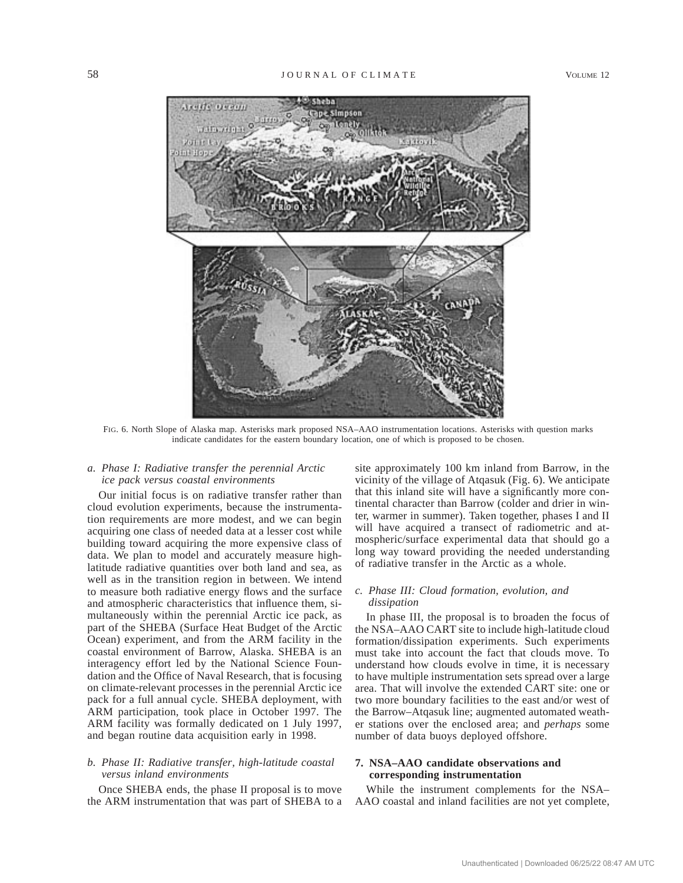

FIG. 6. North Slope of Alaska map. Asterisks mark proposed NSA–AAO instrumentation locations. Asterisks with question marks indicate candidates for the eastern boundary location, one of which is proposed to be chosen.

## *a. Phase I: Radiative transfer the perennial Arctic ice pack versus coastal environments*

Our initial focus is on radiative transfer rather than cloud evolution experiments, because the instrumentation requirements are more modest, and we can begin acquiring one class of needed data at a lesser cost while building toward acquiring the more expensive class of data. We plan to model and accurately measure highlatitude radiative quantities over both land and sea, as well as in the transition region in between. We intend to measure both radiative energy flows and the surface and atmospheric characteristics that influence them, simultaneously within the perennial Arctic ice pack, as part of the SHEBA (Surface Heat Budget of the Arctic Ocean) experiment, and from the ARM facility in the coastal environment of Barrow, Alaska. SHEBA is an interagency effort led by the National Science Foundation and the Office of Naval Research, that is focusing on climate-relevant processes in the perennial Arctic ice pack for a full annual cycle. SHEBA deployment, with ARM participation, took place in October 1997. The ARM facility was formally dedicated on 1 July 1997, and began routine data acquisition early in 1998.

# *b. Phase II: Radiative transfer, high-latitude coastal versus inland environments*

Once SHEBA ends, the phase II proposal is to move the ARM instrumentation that was part of SHEBA to a site approximately 100 km inland from Barrow, in the vicinity of the village of Atqasuk (Fig. 6). We anticipate that this inland site will have a significantly more continental character than Barrow (colder and drier in winter, warmer in summer). Taken together, phases I and II will have acquired a transect of radiometric and atmospheric/surface experimental data that should go a long way toward providing the needed understanding of radiative transfer in the Arctic as a whole.

## *c. Phase III: Cloud formation, evolution, and dissipation*

In phase III, the proposal is to broaden the focus of the NSA–AAO CART site to include high-latitude cloud formation/dissipation experiments. Such experiments must take into account the fact that clouds move. To understand how clouds evolve in time, it is necessary to have multiple instrumentation sets spread over a large area. That will involve the extended CART site: one or two more boundary facilities to the east and/or west of the Barrow–Atqasuk line; augmented automated weather stations over the enclosed area; and *perhaps* some number of data buoys deployed offshore.

## **7. NSA–AAO candidate observations and corresponding instrumentation**

While the instrument complements for the NSA– AAO coastal and inland facilities are not yet complete,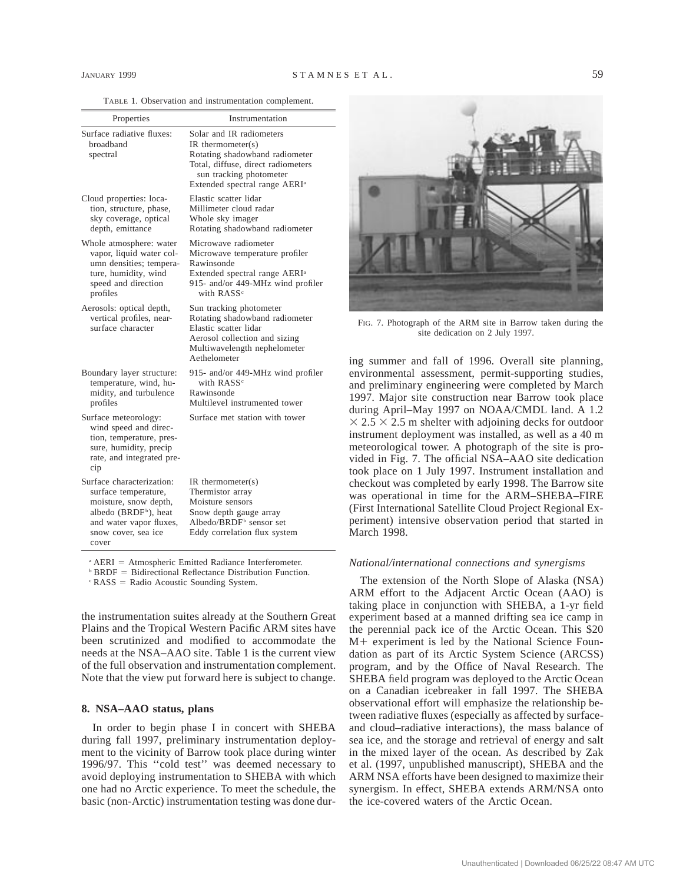| Properties                                                                                                                                                                 | Instrumentation                                                                                                                                                                                  |
|----------------------------------------------------------------------------------------------------------------------------------------------------------------------------|--------------------------------------------------------------------------------------------------------------------------------------------------------------------------------------------------|
| Surface radiative fluxes:<br>broadband<br>spectral                                                                                                                         | Solar and IR radiometers<br>IR thermometer $(s)$<br>Rotating shadowband radiometer<br>Total, diffuse, direct radiometers<br>sun tracking photometer<br>Extended spectral range AERI <sup>a</sup> |
| Cloud properties: loca-<br>tion, structure, phase,<br>sky coverage, optical<br>depth, emittance                                                                            | Elastic scatter lidar<br>Millimeter cloud radar<br>Whole sky imager<br>Rotating shadowband radiometer                                                                                            |
| Whole atmosphere: water<br>vapor, liquid water col-<br>umn densities; tempera-<br>ture, humidity, wind<br>speed and direction<br>profiles                                  | Microwave radiometer<br>Microwave temperature profiler<br>Rawinsonde<br>Extended spectral range AERI <sup>a</sup><br>915- and/or 449-MHz wind profiler<br>with $RASS^c$                          |
| Aerosols: optical depth,<br>vertical profiles, near-<br>surface character                                                                                                  | Sun tracking photometer<br>Rotating shadowband radiometer<br>Elastic scatter lidar<br>Aerosol collection and sizing<br>Multiwavelength nephelometer<br>Aethelometer                              |
| Boundary layer structure:<br>temperature, wind, hu-<br>midity, and turbulence<br>profiles                                                                                  | 915- and/or 449-MHz wind profiler<br>with $RASS^c$<br>Rawinsonde<br>Multilevel instrumented tower                                                                                                |
| Surface meteorology:<br>wind speed and direc-<br>tion, temperature, pres-<br>sure, humidity, precip<br>rate, and integrated pre-<br>cip                                    | Surface met station with tower                                                                                                                                                                   |
| Surface characterization:<br>surface temperature,<br>moisture, snow depth,<br>albedo (BRDF <sup>b</sup> ), heat<br>and water vapor fluxes,<br>snow cover, sea ice<br>cover | IR thermometer(s)<br>Thermistor array<br>Moisture sensors<br>Snow depth gauge array<br>Albedo/BRDF <sup>b</sup> sensor set<br>Eddy correlation flux system                                       |

TABLE 1. Observation and instrumentation complement.

 $AERI = Atmospheric Emitted Radiance Interferometer.$ 

 $b$  BRDF = Bidirectional Reflectance Distribution Function.

 $c$  RASS = Radio Acoustic Sounding System.

the instrumentation suites already at the Southern Great Plains and the Tropical Western Pacific ARM sites have been scrutinized and modified to accommodate the needs at the NSA–AAO site. Table 1 is the current view of the full observation and instrumentation complement. Note that the view put forward here is subject to change.

#### **8. NSA–AAO status, plans**

In order to begin phase I in concert with SHEBA during fall 1997, preliminary instrumentation deployment to the vicinity of Barrow took place during winter 1996/97. This ''cold test'' was deemed necessary to avoid deploying instrumentation to SHEBA with which one had no Arctic experience. To meet the schedule, the basic (non-Arctic) instrumentation testing was done dur-



FIG. 7. Photograph of the ARM site in Barrow taken during the site dedication on 2 July 1997.

ing summer and fall of 1996. Overall site planning, environmental assessment, permit-supporting studies, and preliminary engineering were completed by March 1997. Major site construction near Barrow took place during April–May 1997 on NOAA/CMDL land. A 1.2  $\times$  2.5  $\times$  2.5 m shelter with adjoining decks for outdoor instrument deployment was installed, as well as a 40 m meteorological tower. A photograph of the site is provided in Fig. 7. The official NSA–AAO site dedication took place on 1 July 1997. Instrument installation and checkout was completed by early 1998. The Barrow site was operational in time for the ARM–SHEBA–FIRE (First International Satellite Cloud Project Regional Experiment) intensive observation period that started in March 1998.

#### *National/international connections and synergisms*

The extension of the North Slope of Alaska (NSA) ARM effort to the Adjacent Arctic Ocean (AAO) is taking place in conjunction with SHEBA, a 1-yr field experiment based at a manned drifting sea ice camp in the perennial pack ice of the Arctic Ocean. This \$20  $M+$  experiment is led by the National Science Foundation as part of its Arctic System Science (ARCSS) program, and by the Office of Naval Research. The SHEBA field program was deployed to the Arctic Ocean on a Canadian icebreaker in fall 1997. The SHEBA observational effort will emphasize the relationship between radiative fluxes (especially as affected by surfaceand cloud–radiative interactions), the mass balance of sea ice, and the storage and retrieval of energy and salt in the mixed layer of the ocean. As described by Zak et al. (1997, unpublished manuscript), SHEBA and the ARM NSA efforts have been designed to maximize their synergism. In effect, SHEBA extends ARM/NSA onto the ice-covered waters of the Arctic Ocean.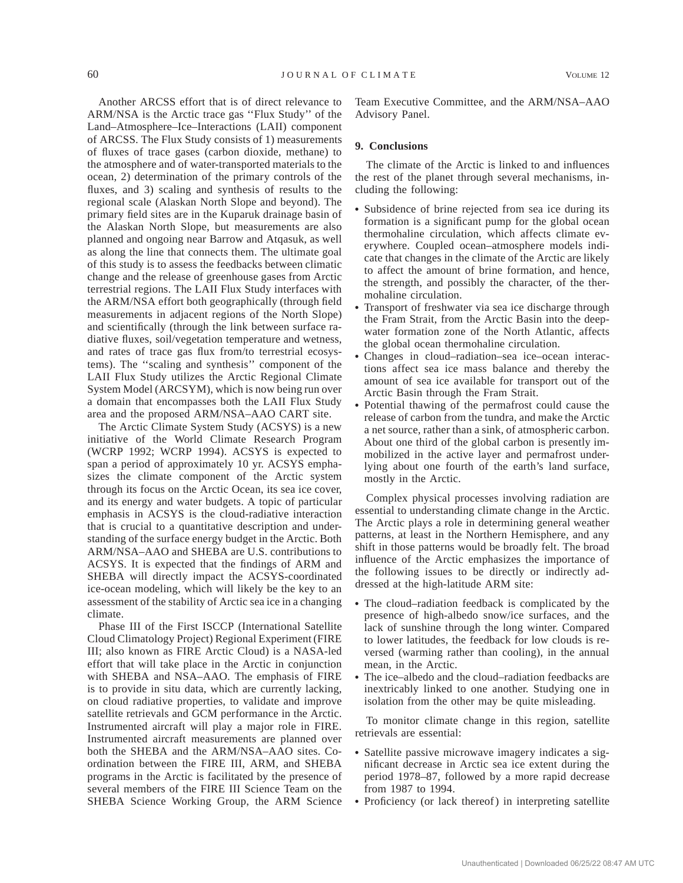Another ARCSS effort that is of direct relevance to ARM/NSA is the Arctic trace gas ''Flux Study'' of the Land–Atmosphere–Ice–Interactions (LAII) component of ARCSS. The Flux Study consists of 1) measurements of fluxes of trace gases (carbon dioxide, methane) to the atmosphere and of water-transported materials to the ocean, 2) determination of the primary controls of the fluxes, and 3) scaling and synthesis of results to the regional scale (Alaskan North Slope and beyond). The primary field sites are in the Kuparuk drainage basin of the Alaskan North Slope, but measurements are also planned and ongoing near Barrow and Atqasuk, as well as along the line that connects them. The ultimate goal of this study is to assess the feedbacks between climatic change and the release of greenhouse gases from Arctic terrestrial regions. The LAII Flux Study interfaces with the ARM/NSA effort both geographically (through field measurements in adjacent regions of the North Slope) and scientifically (through the link between surface radiative fluxes, soil/vegetation temperature and wetness, and rates of trace gas flux from/to terrestrial ecosystems). The ''scaling and synthesis'' component of the LAII Flux Study utilizes the Arctic Regional Climate System Model (ARCSYM), which is now being run over a domain that encompasses both the LAII Flux Study area and the proposed ARM/NSA–AAO CART site.

The Arctic Climate System Study (ACSYS) is a new initiative of the World Climate Research Program (WCRP 1992; WCRP 1994). ACSYS is expected to span a period of approximately 10 yr. ACSYS emphasizes the climate component of the Arctic system through its focus on the Arctic Ocean, its sea ice cover, and its energy and water budgets. A topic of particular emphasis in ACSYS is the cloud-radiative interaction that is crucial to a quantitative description and understanding of the surface energy budget in the Arctic. Both ARM/NSA–AAO and SHEBA are U.S. contributions to ACSYS. It is expected that the findings of ARM and SHEBA will directly impact the ACSYS-coordinated ice-ocean modeling, which will likely be the key to an assessment of the stability of Arctic sea ice in a changing climate.

Phase III of the First ISCCP (International Satellite Cloud Climatology Project) Regional Experiment (FIRE III; also known as FIRE Arctic Cloud) is a NASA-led effort that will take place in the Arctic in conjunction with SHEBA and NSA–AAO. The emphasis of FIRE is to provide in situ data, which are currently lacking, on cloud radiative properties, to validate and improve satellite retrievals and GCM performance in the Arctic. Instrumented aircraft will play a major role in FIRE. Instrumented aircraft measurements are planned over both the SHEBA and the ARM/NSA–AAO sites. Coordination between the FIRE III, ARM, and SHEBA programs in the Arctic is facilitated by the presence of several members of the FIRE III Science Team on the SHEBA Science Working Group, the ARM Science

Team Executive Committee, and the ARM/NSA–AAO Advisory Panel.

## **9. Conclusions**

The climate of the Arctic is linked to and influences the rest of the planet through several mechanisms, including the following:

- Subsidence of brine rejected from sea ice during its formation is a significant pump for the global ocean thermohaline circulation, which affects climate everywhere. Coupled ocean–atmosphere models indicate that changes in the climate of the Arctic are likely to affect the amount of brine formation, and hence, the strength, and possibly the character, of the thermohaline circulation.
- Transport of freshwater via sea ice discharge through the Fram Strait, from the Arctic Basin into the deepwater formation zone of the North Atlantic, affects the global ocean thermohaline circulation.
- Changes in cloud–radiation–sea ice–ocean interactions affect sea ice mass balance and thereby the amount of sea ice available for transport out of the Arctic Basin through the Fram Strait.
- Potential thawing of the permafrost could cause the release of carbon from the tundra, and make the Arctic a net source, rather than a sink, of atmospheric carbon. About one third of the global carbon is presently immobilized in the active layer and permafrost underlying about one fourth of the earth's land surface, mostly in the Arctic.

Complex physical processes involving radiation are essential to understanding climate change in the Arctic. The Arctic plays a role in determining general weather patterns, at least in the Northern Hemisphere, and any shift in those patterns would be broadly felt. The broad influence of the Arctic emphasizes the importance of the following issues to be directly or indirectly addressed at the high-latitude ARM site:

- The cloud–radiation feedback is complicated by the presence of high-albedo snow/ice surfaces, and the lack of sunshine through the long winter. Compared to lower latitudes, the feedback for low clouds is reversed (warming rather than cooling), in the annual mean, in the Arctic.
- The ice–albedo and the cloud–radiation feedbacks are inextricably linked to one another. Studying one in isolation from the other may be quite misleading.

To monitor climate change in this region, satellite retrievals are essential:

- Satellite passive microwave imagery indicates a significant decrease in Arctic sea ice extent during the period 1978–87, followed by a more rapid decrease from 1987 to 1994.
- Proficiency (or lack thereof) in interpreting satellite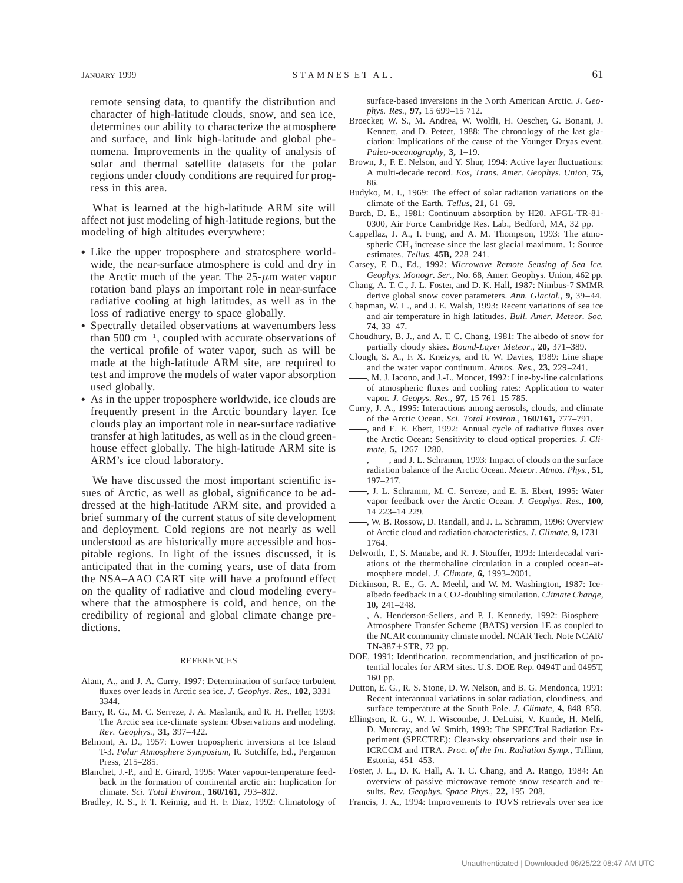remote sensing data, to quantify the distribution and character of high-latitude clouds, snow, and sea ice, determines our ability to characterize the atmosphere and surface, and link high-latitude and global phenomena. Improvements in the quality of analysis of solar and thermal satellite datasets for the polar regions under cloudy conditions are required for progress in this area.

What is learned at the high-latitude ARM site will affect not just modeling of high-latitude regions, but the modeling of high altitudes everywhere:

- Like the upper troposphere and stratosphere worldwide, the near-surface atmosphere is cold and dry in the Arctic much of the year. The  $25-\mu m$  water vapor rotation band plays an important role in near-surface radiative cooling at high latitudes, as well as in the loss of radiative energy to space globally.
- Spectrally detailed observations at wavenumbers less than  $500 \text{ cm}^{-1}$ , coupled with accurate observations of the vertical profile of water vapor, such as will be made at the high-latitude ARM site, are required to test and improve the models of water vapor absorption used globally.
- As in the upper troposphere worldwide, ice clouds are frequently present in the Arctic boundary layer. Ice clouds play an important role in near-surface radiative transfer at high latitudes, as well as in the cloud greenhouse effect globally. The high-latitude ARM site is ARM's ice cloud laboratory.

We have discussed the most important scientific issues of Arctic, as well as global, significance to be addressed at the high-latitude ARM site, and provided a brief summary of the current status of site development and deployment. Cold regions are not nearly as well understood as are historically more accessible and hospitable regions. In light of the issues discussed, it is anticipated that in the coming years, use of data from the NSA–AAO CART site will have a profound effect on the quality of radiative and cloud modeling everywhere that the atmosphere is cold, and hence, on the credibility of regional and global climate change predictions.

#### **REFERENCES**

- Alam, A., and J. A. Curry, 1997: Determination of surface turbulent fluxes over leads in Arctic sea ice. *J. Geophys. Res.,* **102,** 3331– 3344.
- Barry, R. G., M. C. Serreze, J. A. Maslanik, and R. H. Preller, 1993: The Arctic sea ice-climate system: Observations and modeling. *Rev. Geophys.,* **31,** 397–422.
- Belmont, A. D., 1957: Lower tropospheric inversions at Ice Island T-3. *Polar Atmosphere Symposium,* R. Sutcliffe, Ed., Pergamon Press, 215–285.
- Blanchet, J.-P., and E. Girard, 1995: Water vapour-temperature feedback in the formation of continental arctic air: Implication for climate. *Sci. Total Environ.,* **160/161,** 793–802.
- Bradley, R. S., F. T. Keimig, and H. F. Diaz, 1992: Climatology of

surface-based inversions in the North American Arctic. *J. Geophys. Res.,* **97,** 15 699–15 712.

- Broecker, W. S., M. Andrea, W. Wolfli, H. Oescher, G. Bonani, J. Kennett, and D. Peteet, 1988: The chronology of the last glaciation: Implications of the cause of the Younger Dryas event. *Paleo-oceanography,* **3,** 1–19.
- Brown, J., F. E. Nelson, and Y. Shur, 1994: Active layer fluctuations: A multi-decade record. *Eos, Trans. Amer. Geophys. Union,* **75,** 86.
- Budyko, M. I., 1969: The effect of solar radiation variations on the climate of the Earth. *Tellus,* **21,** 61–69.
- Burch, D. E., 1981: Continuum absorption by H20. AFGL-TR-81- 0300, Air Force Cambridge Res. Lab., Bedford, MA, 32 pp.
- Cappellaz, J. A., I. Fung, and A. M. Thompson, 1993: The atmospheric  $CH<sub>4</sub>$  increase since the last glacial maximum. 1: Source estimates. *Tellus,* **45B,** 228–241.
- Carsey, F. D., Ed., 1992: *Microwave Remote Sensing of Sea Ice. Geophys. Monogr. Ser.,* No. 68, Amer. Geophys. Union, 462 pp.
- Chang, A. T. C., J. L. Foster, and D. K. Hall, 1987: Nimbus-7 SMMR derive global snow cover parameters. *Ann. Glaciol.,* **9,** 39–44.
- Chapman, W. L., and J. E. Walsh, 1993: Recent variations of sea ice and air temperature in high latitudes. *Bull. Amer. Meteor. Soc.* **74,** 33–47.
- Choudhury, B. J., and A. T. C. Chang, 1981: The albedo of snow for partially cloudy skies. *Bound-Layer Meteor.,* **20,** 371–389.
- Clough, S. A., F. X. Kneizys, and R. W. Davies, 1989: Line shape and the water vapor continuum. *Atmos. Res.,* **23,** 229–241.
- , M. J. Iacono, and J.-L. Moncet, 1992: Line-by-line calculations of atmospheric fluxes and cooling rates: Application to water vapor. *J. Geopys. Res.,* **97,** 15 761–15 785.
- Curry, J. A., 1995: Interactions among aerosols, clouds, and climate of the Arctic Ocean. *Sci. Total Environ.,* **160/161,** 777–791.
- , and E. E. Ebert, 1992: Annual cycle of radiative fluxes over the Arctic Ocean: Sensitivity to cloud optical properties. *J. Climate,* **5,** 1267–1280.
- -, and J. L. Schramm, 1993: Impact of clouds on the surface radiation balance of the Arctic Ocean. *Meteor. Atmos. Phys.,* **51,** 197–217.
- , J. L. Schramm, M. C. Serreze, and E. E. Ebert, 1995: Water vapor feedback over the Arctic Ocean. *J. Geophys. Res.,* **100,** 14 223–14 229.
- , W. B. Rossow, D. Randall, and J. L. Schramm, 1996: Overview of Arctic cloud and radiation characteristics. *J. Climate,* **9,** 1731– 1764.
- Delworth, T., S. Manabe, and R. J. Stouffer, 1993: Interdecadal variations of the thermohaline circulation in a coupled ocean–atmosphere model. *J. Climate,* **6,** 1993–2001.
- Dickinson, R. E., G. A. Meehl, and W. M. Washington, 1987: Icealbedo feedback in a CO2-doubling simulation. *Climate Change,* **10,** 241–248.
- , A. Henderson-Sellers, and P. J. Kennedy, 1992: Biosphere– Atmosphere Transfer Scheme (BATS) version 1E as coupled to the NCAR community climate model. NCAR Tech. Note NCAR/  $TN-387+STR$ , 72 pp.
- DOE, 1991: Identification, recommendation, and justification of potential locales for ARM sites. U.S. DOE Rep. 0494T and 0495T, 160 pp.
- Dutton, E. G., R. S. Stone, D. W. Nelson, and B. G. Mendonca, 1991: Recent interannual variations in solar radiation, cloudiness, and surface temperature at the South Pole. *J. Climate,* **4,** 848–858.
- Ellingson, R. G., W. J. Wiscombe, J. DeLuisi, V. Kunde, H. Melfi, D. Murcray, and W. Smith, 1993: The SPECTral Radiation Experiment (SPECTRE): Clear-sky observations and their use in ICRCCM and ITRA. *Proc. of the Int. Radiation Symp.,* Tallinn, Estonia, 451–453.
- Foster, J. L., D. K. Hall, A. T. C. Chang, and A. Rango, 1984: An overview of passive microwave remote snow research and results. *Rev. Geophys. Space Phys.,* **22,** 195–208.
- Francis, J. A., 1994: Improvements to TOVS retrievals over sea ice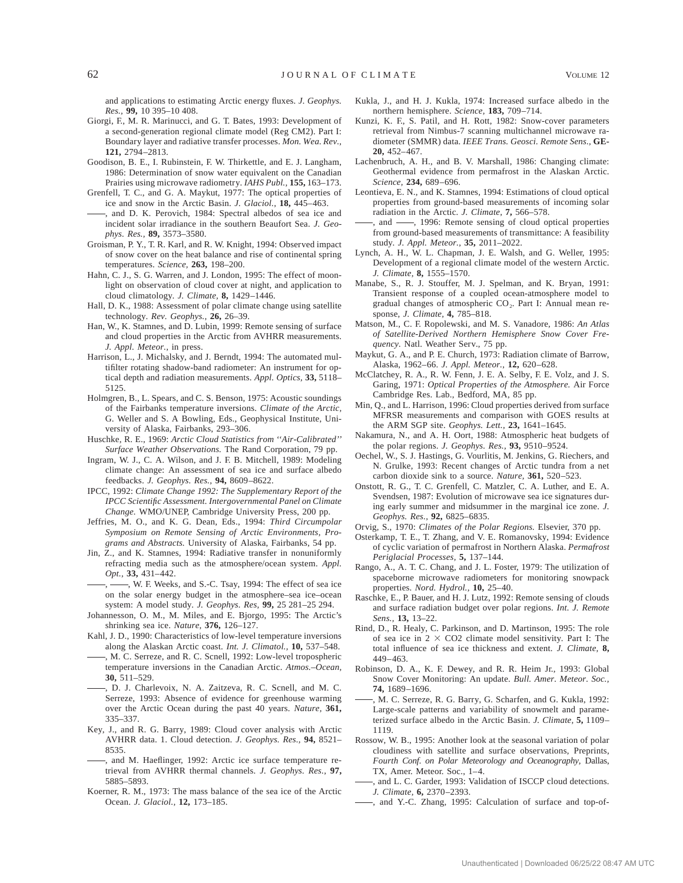and applications to estimating Arctic energy fluxes. *J. Geophys. Res.,* **99,** 10 395–10 408.

- Giorgi, F., M. R. Marinucci, and G. T. Bates, 1993: Development of a second-generation regional climate model (Reg CM2). Part I: Boundary layer and radiative transfer processes. *Mon. Wea. Rev.,* **121,** 2794–2813.
- Goodison, B. E., I. Rubinstein, F. W. Thirkettle, and E. J. Langham, 1986: Determination of snow water equivalent on the Canadian Prairies using microwave radiometry. *IAHS Publ.,* **155,** 163–173.
- Grenfell, T. C., and G. A. Maykut, 1977: The optical properties of ice and snow in the Arctic Basin. *J. Glaciol.,* **18,** 445–463.
- , and D. K. Perovich, 1984: Spectral albedos of sea ice and incident solar irradiance in the southern Beaufort Sea. *J. Geophys. Res.,* **89,** 3573–3580.
- Groisman, P. Y., T. R. Karl, and R. W. Knight, 1994: Observed impact of snow cover on the heat balance and rise of continental spring temperatures. *Science,* **263,** 198–200.
- Hahn, C. J., S. G. Warren, and J. London, 1995: The effect of moonlight on observation of cloud cover at night, and application to cloud climatology. *J. Climate,* **8,** 1429–1446.
- Hall, D. K., 1988: Assessment of polar climate change using satellite technology. *Rev. Geophys.,* **26,** 26–39.
- Han, W., K. Stamnes, and D. Lubin, 1999: Remote sensing of surface and cloud properties in the Arctic from AVHRR measurements. *J. Appl. Meteor.,* in press.
- Harrison, L., J. Michalsky, and J. Berndt, 1994: The automated multifilter rotating shadow-band radiometer: An instrument for optical depth and radiation measurements. *Appl. Optics,* **33,** 5118– 5125.
- Holmgren, B., L. Spears, and C. S. Benson, 1975: Acoustic soundings of the Fairbanks temperature inversions. *Climate of the Arctic,* G. Weller and S. A Bowling, Eds., Geophysical Institute, University of Alaska, Fairbanks, 293–306.
- Huschke, R. E., 1969: *Arctic Cloud Statistics from ''Air-Calibrated'' Surface Weather Observations.* The Rand Corporation, 79 pp.
- Ingram, W. J., C. A. Wilson, and J. F. B. Mitchell, 1989: Modeling climate change: An assessment of sea ice and surface albedo feedbacks. *J. Geophys. Res.,* **94,** 8609–8622.
- IPCC, 1992: *Climate Change 1992: The Supplementary Report of the IPCC Scientific Assessment. Intergovernmental Panel on Climate Change.* WMO/UNEP, Cambridge University Press, 200 pp.
- Jeffries, M. O., and K. G. Dean, Eds., 1994: *Third Circumpolar Symposium on Remote Sensing of Arctic Environments, Programs and Abstracts.* University of Alaska, Fairbanks, 54 pp.
- Jin, Z., and K. Stamnes, 1994: Radiative transfer in nonuniformly refracting media such as the atmosphere/ocean system. *Appl. Opt.,* **33,** 431–442.
	- -, W. F. Weeks, and S.-C. Tsay, 1994: The effect of sea ice on the solar energy budget in the atmosphere–sea ice–ocean system: A model study. *J. Geophys. Res,* **99,** 25 281–25 294.
- Johannesson, O. M., M. Miles, and E. Bjorgo, 1995: The Arctic's shrinking sea ice. *Nature,* **376,** 126–127.
- Kahl, J. D., 1990: Characteristics of low-level temperature inversions along the Alaskan Arctic coast. *Int. J. Climatol.,* **10,** 537–548.
- , M. C. Serreze, and R. C. Scnell, 1992: Low-level tropospheric temperature inversions in the Canadian Arctic. *Atmos.–Ocean,* **30,** 511–529.
- , D. J. Charlevoix, N. A. Zaitzeva, R. C. Scnell, and M. C. Serreze, 1993: Absence of evidence for greenhouse warming over the Arctic Ocean during the past 40 years. *Nature,* **361,** 335–337.
- Key, J., and R. G. Barry, 1989: Cloud cover analysis with Arctic AVHRR data. 1. Cloud detection. *J. Geophys. Res.,* **94,** 8521– 8535.
- , and M. Haeflinger, 1992: Arctic ice surface temperature retrieval from AVHRR thermal channels. *J. Geophys. Res.,* **97,** 5885–5893.
- Koerner, R. M., 1973: The mass balance of the sea ice of the Arctic Ocean. *J. Glaciol.,* **12,** 173–185.
- Kukla, J., and H. J. Kukla, 1974: Increased surface albedo in the northern hemisphere. *Science,* **183,** 709–714.
- Kunzi, K. F., S. Patil, and H. Rott, 1982: Snow-cover parameters retrieval from Nimbus-7 scanning multichannel microwave radiometer (SMMR) data. *IEEE Trans. Geosci. Remote Sens.,* **GE-20,** 452–467.
- Lachenbruch, A. H., and B. V. Marshall, 1986: Changing climate: Geothermal evidence from permafrost in the Alaskan Arctic. *Science,* **234,** 689–696.
- Leontieva, E. N., and K. Stamnes, 1994: Estimations of cloud optical properties from ground-based measurements of incoming solar radiation in the Arctic. *J. Climate,* **7,** 566–578.
- , and  $\longrightarrow$ , 1996: Remote sensing of cloud optical properties from ground-based measurements of transmittance: A feasibility study. *J. Appl. Meteor.,* **35,** 2011–2022.
- Lynch, A. H., W. L. Chapman, J. E. Walsh, and G. Weller, 1995: Development of a regional climate model of the western Arctic. *J. Climate,* **8,** 1555–1570.
- Manabe, S., R. J. Stouffer, M. J. Spelman, and K. Bryan, 1991: Transient response of a coupled ocean-atmosphere model to gradual changes of atmospheric  $CO<sub>2</sub>$ . Part I: Annual mean response, *J. Climate,* **4,** 785–818.
- Matson, M., C. F. Ropolewski, and M. S. Vanadore, 1986: *An Atlas of Satellite-Derived Northern Hemisphere Snow Cover Frequency.* Natl. Weather Serv., 75 pp.
- Maykut, G. A., and P. E. Church, 1973: Radiation climate of Barrow, Alaska, 1962–66. *J. Appl. Meteor.,* **12,** 620–628.
- McClatchey, R. A., R. W. Fenn, J. E. A. Selby, F. E. Volz, and J. S. Garing, 1971: *Optical Properties of the Atmosphere.* Air Force Cambridge Res. Lab., Bedford, MA, 85 pp.
- Min, Q., and L. Harrison, 1996: Cloud properties derived from surface MFRSR measurements and comparison with GOES results at the ARM SGP site. *Geophys. Lett.,* **23,** 1641–1645.
- Nakamura, N., and A. H. Oort, 1988: Atmospheric heat budgets of the polar regions. *J. Geophys. Res.,* **93,** 9510–9524.
- Oechel, W., S. J. Hastings, G. Vourlitis, M. Jenkins, G. Riechers, and N. Grulke, 1993: Recent changes of Arctic tundra from a net carbon dioxide sink to a source. *Nature,* **361,** 520–523.
- Onstott, R. G., T. C. Grenfell, C. Matzler, C. A. Luther, and E. A. Svendsen, 1987: Evolution of microwave sea ice signatures during early summer and midsummer in the marginal ice zone. *J. Geophys. Res.,* **92,** 6825–6835.
- Orvig, S., 1970: *Climates of the Polar Regions.* Elsevier, 370 pp.
- Osterkamp, T. E., T. Zhang, and V. E. Romanovsky, 1994: Evidence of cyclic variation of permafrost in Northern Alaska. *Permafrost Periglacial Processes,* **5,** 137–144.
- Rango, A., A. T. C. Chang, and J. L. Foster, 1979: The utilization of spaceborne microwave radiometers for monitoring snowpack properties. *Nord. Hydrol.,* **10,** 25–40.
- Raschke, E., P. Bauer, and H. J. Lutz, 1992: Remote sensing of clouds and surface radiation budget over polar regions. *Int. J. Remote Sens.,* **13,** 13–22.
- Rind, D., R. Healy, C. Parkinson, and D. Martinson, 1995: The role of sea ice in  $2 \times CO2$  climate model sensitivity. Part I: The total influence of sea ice thickness and extent. *J. Climate,* **8,** 449–463.
- Robinson, D. A., K. F. Dewey, and R. R. Heim Jr., 1993: Global Snow Cover Monitoring: An update. *Bull. Amer. Meteor. Soc.,* **74,** 1689–1696.
- , M. C. Serreze, R. G. Barry, G. Scharfen, and G. Kukla, 1992: Large-scale patterns and variability of snowmelt and parameterized surface albedo in the Arctic Basin. *J. Climate,* **5,** 1109– 1119.
- Rossow, W. B., 1995: Another look at the seasonal variation of polar cloudiness with satellite and surface observations, Preprints, *Fourth Conf. on Polar Meteorology and Oceanography,* Dallas, TX, Amer. Meteor. Soc., 1–4.
- , and L. C. Garder, 1993: Validation of ISCCP cloud detections. *J. Climate,* **6,** 2370–2393.
- , and Y.-C. Zhang, 1995: Calculation of surface and top-of-